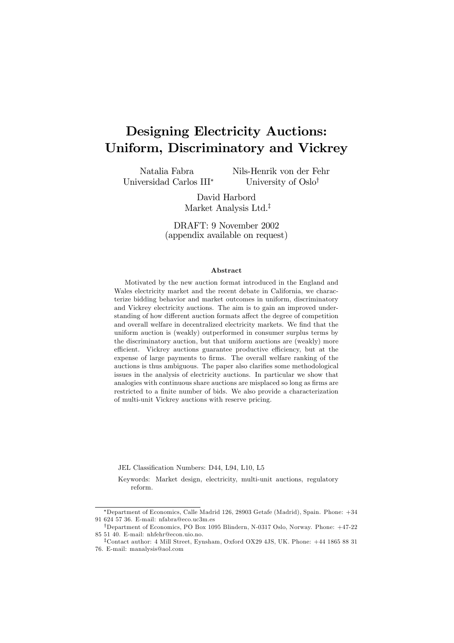# Designing Electricity Auctions: Uniform, Discriminatory and Vickrey

Natalia Fabra Universidad Carlos III<sup>∗</sup> Nils-Henrik von der Fehr University of Oslo†

David Harbord Market Analysis Ltd.‡

DRAFT: 9 November 2002 (appendix available on request)

#### Abstract

Motivated by the new auction format introduced in the England and Wales electricity market and the recent debate in California, we characterize bidding behavior and market outcomes in uniform, discriminatory and Vickrey electricity auctions. The aim is to gain an improved understanding of how different auction formats affect the degree of competition and overall welfare in decentralized electricity markets. We find that the uniform auction is (weakly) outperformed in consumer surplus terms by the discriminatory auction, but that uniform auctions are (weakly) more efficient. Vickrey auctions guarantee productive efficiency, but at the expense of large payments to firms. The overall welfare ranking of the auctions is thus ambiguous. The paper also clarifies some methodological issues in the analysis of electricity auctions. In particular we show that analogies with continuous share auctions are misplaced so long as firms are restricted to a finite number of bids. We also provide a characterization of multi-unit Vickrey auctions with reserve pricing.

JEL Classification Numbers: D44, L94, L10, L5

Keywords: Market design, electricity, multi-unit auctions, regulatory reform.

∗Department of Economics, Calle Madrid 126, 28903 Getafe (Madrid), Spain. Phone: +34 91 624 57 36. E-mail: nfabra@eco.uc3m.es

†Department of Economics, PO Box 1095 Blindern, N-0317 Oslo, Norway. Phone: +47-22 85 51 40. E-mail: nhfehr@econ.uio.no.

<sup>‡</sup>Contact author: 4 Mill Street, Eynsham, Oxford OX29 4JS, UK. Phone: +44 1865 88 31 76. E-mail: manalysis@aol.com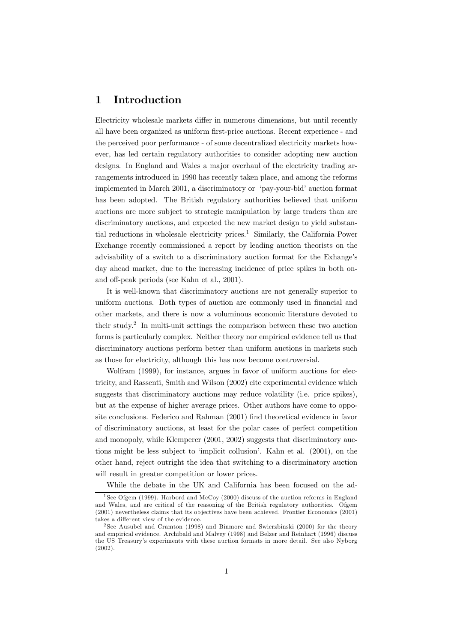### 1 Introduction

Electricity wholesale markets differ in numerous dimensions, but until recently all have been organized as uniform first-price auctions. Recent experience - and the perceived poor performance - of some decentralized electricity markets however, has led certain regulatory authorities to consider adopting new auction designs. In England and Wales a major overhaul of the electricity trading arrangements introduced in 1990 has recently taken place, and among the reforms implemented in March 2001, a discriminatory or 'pay-your-bid' auction format has been adopted. The British regulatory authorities believed that uniform auctions are more subject to strategic manipulation by large traders than are discriminatory auctions, and expected the new market design to yield substantial reductions in wholesale electricity prices.<sup>1</sup> Similarly, the California Power Exchange recently commissioned a report by leading auction theorists on the advisability of a switch to a discriminatory auction format for the Exhange's day ahead market, due to the increasing incidence of price spikes in both onand off-peak periods (see Kahn et al., 2001).

It is well-known that discriminatory auctions are not generally superior to uniform auctions. Both types of auction are commonly used in financial and other markets, and there is now a voluminous economic literature devoted to their study.<sup>2</sup> In multi-unit settings the comparison between these two auction forms is particularly complex. Neither theory nor empirical evidence tell us that discriminatory auctions perform better than uniform auctions in markets such as those for electricity, although this has now become controversial.

Wolfram (1999), for instance, argues in favor of uniform auctions for electricity, and Rassenti, Smith and Wilson (2002) cite experimental evidence which suggests that discriminatory auctions may reduce volatility (i.e. price spikes), but at the expense of higher average prices. Other authors have come to opposite conclusions. Federico and Rahman (2001) find theoretical evidence in favor of discriminatory auctions, at least for the polar cases of perfect competition and monopoly, while Klemperer (2001, 2002) suggests that discriminatory auctions might be less subject to 'implicit collusion'. Kahn et al. (2001), on the other hand, reject outright the idea that switching to a discriminatory auction will result in greater competition or lower prices.

While the debate in the UK and California has been focused on the ad-

<sup>&</sup>lt;sup>1</sup>See Ofgem (1999). Harbord and McCoy (2000) discuss of the auction reforms in England and Wales, and are critical of the reasoning of the British regulatory authorities. Ofgem (2001) nevertheless claims that its objectives have been achieved. Frontier Economics (2001) takes a different view of the evidence.

<sup>2</sup> See Ausubel and Cramton (1998) and Binmore and Swierzbinski (2000) for the theory and empirical evidence. Archibald and Malvey (1998) and Belzer and Reinhart (1996) discuss the US Treasury's experiments with these auction formats in more detail. See also Nyborg (2002).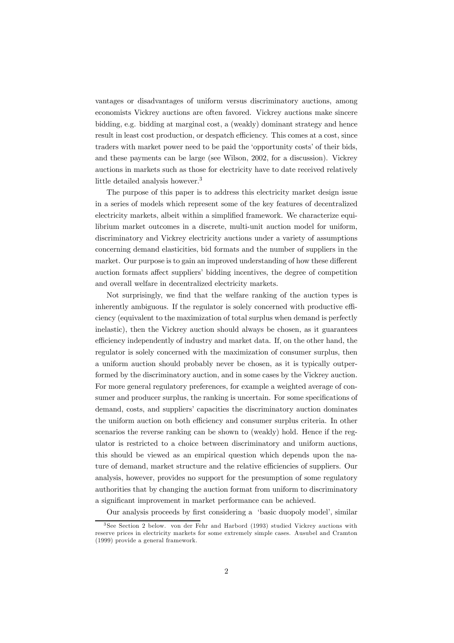vantages or disadvantages of uniform versus discriminatory auctions, among economists Vickrey auctions are often favored. Vickrey auctions make sincere bidding, e.g. bidding at marginal cost, a (weakly) dominant strategy and hence result in least cost production, or despatch efficiency. This comes at a cost, since traders with market power need to be paid the 'opportunity costs' of their bids, and these payments can be large (see Wilson, 2002, for a discussion). Vickrey auctions in markets such as those for electricity have to date received relatively little detailed analysis however.<sup>3</sup>

The purpose of this paper is to address this electricity market design issue in a series of models which represent some of the key features of decentralized electricity markets, albeit within a simplified framework. We characterize equilibrium market outcomes in a discrete, multi-unit auction model for uniform, discriminatory and Vickrey electricity auctions under a variety of assumptions concerning demand elasticities, bid formats and the number of suppliers in the market. Our purpose is to gain an improved understanding of how these different auction formats affect suppliers' bidding incentives, the degree of competition and overall welfare in decentralized electricity markets.

Not surprisingly, we find that the welfare ranking of the auction types is inherently ambiguous. If the regulator is solely concerned with productive efficiency (equivalent to the maximization of total surplus when demand is perfectly inelastic), then the Vickrey auction should always be chosen, as it guarantees efficiency independently of industry and market data. If, on the other hand, the regulator is solely concerned with the maximization of consumer surplus, then a uniform auction should probably never be chosen, as it is typically outperformed by the discriminatory auction, and in some cases by the Vickrey auction. For more general regulatory preferences, for example a weighted average of consumer and producer surplus, the ranking is uncertain. For some specifications of demand, costs, and suppliers' capacities the discriminatory auction dominates the uniform auction on both efficiency and consumer surplus criteria. In other scenarios the reverse ranking can be shown to (weakly) hold. Hence if the regulator is restricted to a choice between discriminatory and uniform auctions, this should be viewed as an empirical question which depends upon the nature of demand, market structure and the relative efficiencies of suppliers. Our analysis, however, provides no support for the presumption of some regulatory authorities that by changing the auction format from uniform to discriminatory a significant improvement in market performance can be achieved.

Our analysis proceeds by first considering a 'basic duopoly model', similar

<sup>3</sup> See Section 2 below. von der Fehr and Harbord (1993) studied Vickrey auctions with reserve prices in electricity markets for some extremely simple cases. Ausubel and Cramton (1999) provide a general framework.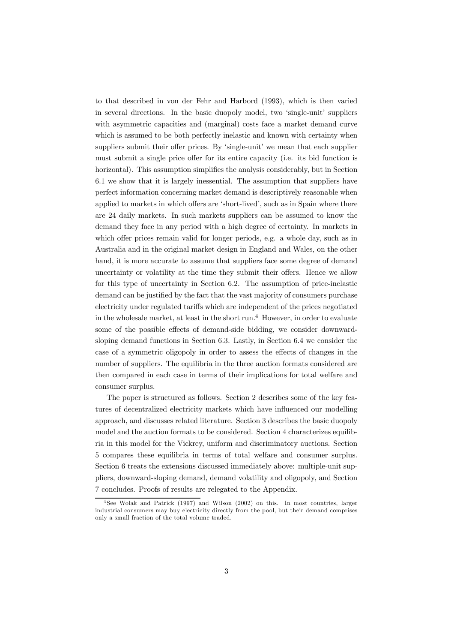to that described in von der Fehr and Harbord (1993), which is then varied in several directions. In the basic duopoly model, two 'single-unit' suppliers with asymmetric capacities and (marginal) costs face a market demand curve which is assumed to be both perfectly inelastic and known with certainty when suppliers submit their offer prices. By 'single-unit' we mean that each supplier must submit a single price offer for its entire capacity (i.e. its bid function is horizontal). This assumption simplifies the analysis considerably, but in Section 6.1 we show that it is largely inessential. The assumption that suppliers have perfect information concerning market demand is descriptively reasonable when applied to markets in which offers are 'short-lived', such as in Spain where there are 24 daily markets. In such markets suppliers can be assumed to know the demand they face in any period with a high degree of certainty. In markets in which offer prices remain valid for longer periods, e.g. a whole day, such as in Australia and in the original market design in England and Wales, on the other hand, it is more accurate to assume that suppliers face some degree of demand uncertainty or volatility at the time they submit their offers. Hence we allow for this type of uncertainty in Section 6.2. The assumption of price-inelastic demand can be justified by the fact that the vast majority of consumers purchase electricity under regulated tariffs which are independent of the prices negotiated in the wholesale market, at least in the short run.<sup>4</sup> However, in order to evaluate some of the possible effects of demand-side bidding, we consider downwardsloping demand functions in Section 6.3. Lastly, in Section 6.4 we consider the case of a symmetric oligopoly in order to assess the effects of changes in the number of suppliers. The equilibria in the three auction formats considered are then compared in each case in terms of their implications for total welfare and consumer surplus.

The paper is structured as follows. Section 2 describes some of the key features of decentralized electricity markets which have influenced our modelling approach, and discusses related literature. Section 3 describes the basic duopoly model and the auction formats to be considered. Section 4 characterizes equilibria in this model for the Vickrey, uniform and discriminatory auctions. Section 5 compares these equilibria in terms of total welfare and consumer surplus. Section 6 treats the extensions discussed immediately above: multiple-unit suppliers, downward-sloping demand, demand volatility and oligopoly, and Section 7 concludes. Proofs of results are relegated to the Appendix.

<sup>4</sup> See Wolak and Patrick (1997) and Wilson (2002) on this. In most countries, larger industrial consumers may buy electricity directly from the pool, but their demand comprises only a small fraction of the total volume traded.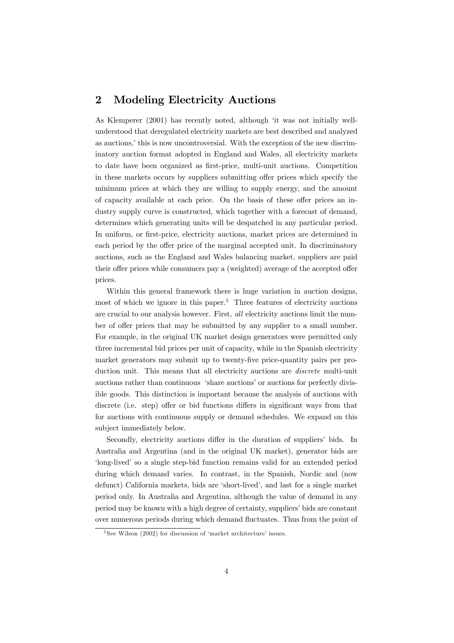### 2 Modeling Electricity Auctions

As Klemperer (2001) has recently noted, although 'it was not initially wellunderstood that deregulated electricity markets are best described and analyzed as auctions,' this is now uncontroversial. With the exception of the new discriminatory auction format adopted in England and Wales, all electricity markets to date have been organized as first-price, multi-unit auctions. Competition in these markets occurs by suppliers submitting offer prices which specify the minimum prices at which they are willing to supply energy, and the amount of capacity available at each price. On the basis of these offer prices an industry supply curve is constructed, which together with a forecast of demand, determines which generating units will be despatched in any particular period. In uniform, or first-price, electricity auctions, market prices are determined in each period by the offer price of the marginal accepted unit. In discriminatory auctions, such as the England and Wales balancing market, suppliers are paid their offer prices while consumers pay a (weighted) average of the accepted offer prices.

Within this general framework there is huge variation in auction designs, most of which we ignore in this paper.<sup>5</sup> Three features of electricity auctions are crucial to our analysis however. First, all electricity auctions limit the number of offer prices that may be submitted by any supplier to a small number. For example, in the original UK market design generators were permitted only three incremental bid prices per unit of capacity, while in the Spanish electricity market generators may submit up to twenty-five price-quantity pairs per production unit. This means that all electricity auctions are *discrete* multi-unit auctions rather than continuous 'share auctions' or auctions for perfectly divisible goods. This distinction is important because the analysis of auctions with discrete (i.e. step) offer or bid functions differs in significant ways from that for auctions with continuous supply or demand schedules. We expand on this subject immediately below.

Secondly, electricity auctions differ in the duration of suppliers' bids. In Australia and Argentina (and in the original UK market), generator bids are 'long-lived' so a single step-bid function remains valid for an extended period during which demand varies. In contrast, in the Spanish, Nordic and (now defunct) California markets, bids are 'short-lived', and last for a single market period only. In Australia and Argentina, although the value of demand in any period may be known with a high degree of certainty, suppliers' bids are constant over numerous periods during which demand fluctuates. Thus from the point of

<sup>&</sup>lt;sup>5</sup> See Wilson (2002) for discussion of 'market architecture' issues.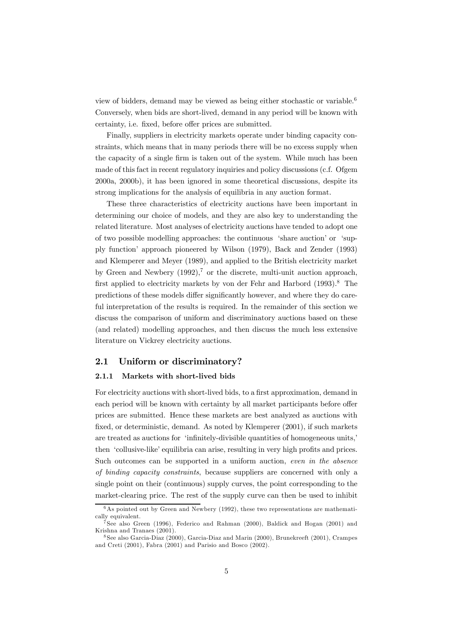view of bidders, demand may be viewed as being either stochastic or variable.<sup>6</sup> Conversely, when bids are short-lived, demand in any period will be known with certainty, i.e. fixed, before offer prices are submitted.

Finally, suppliers in electricity markets operate under binding capacity constraints, which means that in many periods there will be no excess supply when the capacity of a single firm is taken out of the system. While much has been made of this fact in recent regulatory inquiries and policy discussions (c.f. Ofgem 2000a, 2000b), it has been ignored in some theoretical discussions, despite its strong implications for the analysis of equilibria in any auction format.

These three characteristics of electricity auctions have been important in determining our choice of models, and they are also key to understanding the related literature. Most analyses of electricity auctions have tended to adopt one of two possible modelling approaches: the continuous 'share auction' or 'supply function' approach pioneered by Wilson (1979), Back and Zender (1993) and Klemperer and Meyer (1989), and applied to the British electricity market by Green and Newbery  $(1992)$ ,<sup>7</sup> or the discrete, multi-unit auction approach, first applied to electricity markets by von der Fehr and Harbord (1993).<sup>8</sup> The predictions of these models differ significantly however, and where they do careful interpretation of the results is required. In the remainder of this section we discuss the comparison of uniform and discriminatory auctions based on these (and related) modelling approaches, and then discuss the much less extensive literature on Vickrey electricity auctions.

#### 2.1 Uniform or discriminatory?

#### 2.1.1 Markets with short-lived bids

For electricity auctions with short-lived bids, to a first approximation, demand in each period will be known with certainty by all market participants before offer prices are submitted. Hence these markets are best analyzed as auctions with fixed, or deterministic, demand. As noted by Klemperer (2001), if such markets are treated as auctions for 'infinitely-divisible quantities of homogeneous units,' then 'collusive-like' equilibria can arise, resulting in very high profits and prices. Such outcomes can be supported in a uniform auction, even in the absence of binding capacity constraints, because suppliers are concerned with only a single point on their (continuous) supply curves, the point corresponding to the market-clearing price. The rest of the supply curve can then be used to inhibit

 $6$ As pointed out by Green and Newbery (1992), these two representations are mathematically equivalent.

 $\bar{7}$  See also Green (1996), Federico and Rahman (2000), Baldick and Hogan (2001) and Krishna and Tranaes (2001).

<sup>8</sup> See also Garcia-Diaz (2000), Garcia-Diaz and Marin (2000), Brunekreeft (2001), Crampes and Creti (2001), Fabra (2001) and Parisio and Bosco (2002).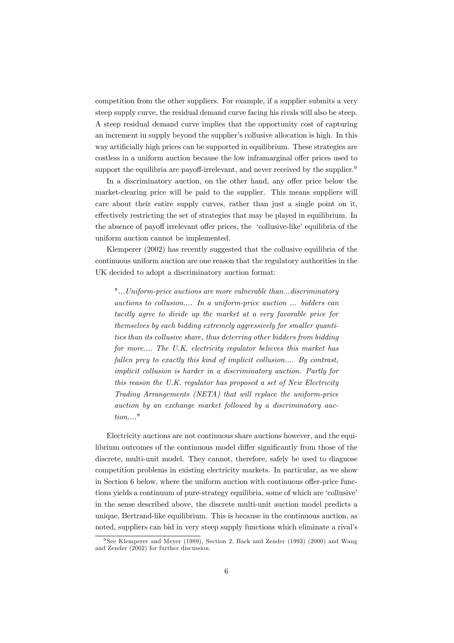competition from the other suppliers. For example, if a supplier submits a very steep supply curve, the residual demand curve facing his rivals will also be steep. A steep residual demand curve implies that the opportunity cost of capturing an increment in supply beyond the supplier's collusive allocation is high. In this way artificially high prices can be supported in equilibrium. These strategies are costless in a uniform auction because the low inframarginal offer prices used to support the equilibria are payoff-irrelevant, and never received by the supplier.<sup>9</sup>

In a discriminatory auction, on the other hand, any offer price below the market-clearing price will be paid to the supplier. This means suppliers will care about their entire supply curves, rather than just a single point on it, effectively restricting the set of strategies that may be played in equilibrium. In the absence of payoff irrelevant offer prices, the 'collusive-like' equilibria of the uniform auction cannot be implemented.

Klemperer (2002) has recently suggested that the collusive equilibria of the continuous uniform auction are one reason that the regulatory authorities in the UK decided to adopt a discriminatory auction format:

"...Uniform-price auctions are more vulnerable than...discriminatory auctions to collusion.... In a uniform-price auction ... bidders can tacitly agree to divide up the market at a very favorable price for themselves by each bidding extremely aggressively for smaller quantities than its collusive share, thus deterring other bidders from bidding for more.... The U.K. electricity regulator believes this market has fallen prey to exactly this kind of implicit collusion.... By contrast, implicit collusion is harder in a discriminatory auction. Partly for this reason the U.K. regulator has proposed a set of New Electricity Trading Arrangements (NETA) that will replace the uniform-price auction by an exchange market followed by a discriminatory auction...."

Electricity auctions are not continuous share auctions however, and the equilibrium outcomes of the continuous model differ significantly from those of the discrete, multi-unit model. They cannot, therefore, safely be used to diagnose competition problems in existing electricity markets. In particular, as we show in Section 6 below, where the uniform auction with continuous offer-price functions yields a continuum of pure-strategy equilibria, some of which are 'collusive' in the sense described above, the discrete multi-unit auction model predicts a unique, Bertrand-like equilibrium. This is because in the continuous auction, as noted, suppliers can bid in very steep supply functions which eliminate a rival's

<sup>9</sup> See Klemperer and Meyer (1989), Section 2, Back and Zender (1993) (2000) and Wang and Zender (2002) for further discussion.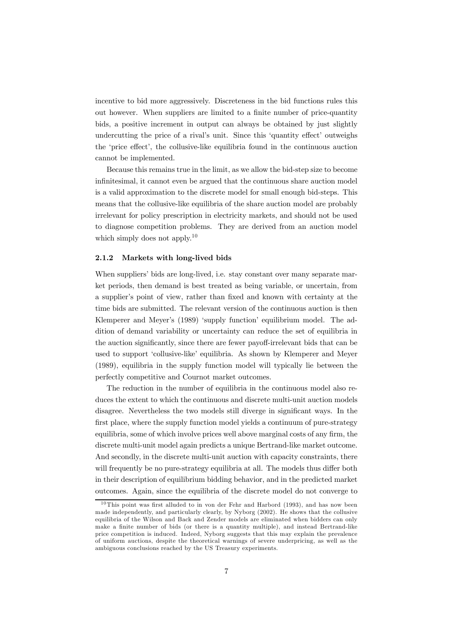incentive to bid more aggressively. Discreteness in the bid functions rules this out however. When suppliers are limited to a finite number of price-quantity bids, a positive increment in output can always be obtained by just slightly undercutting the price of a rival's unit. Since this 'quantity effect' outweighs the 'price effect', the collusive-like equilibria found in the continuous auction cannot be implemented.

Because this remains true in the limit, as we allow the bid-step size to become infinitesimal, it cannot even be argued that the continuous share auction model is a valid approximation to the discrete model for small enough bid-steps. This means that the collusive-like equilibria of the share auction model are probably irrelevant for policy prescription in electricity markets, and should not be used to diagnose competition problems. They are derived from an auction model which simply does not apply.<sup>10</sup>

#### 2.1.2 Markets with long-lived bids

When suppliers' bids are long-lived, i.e. stay constant over many separate market periods, then demand is best treated as being variable, or uncertain, from a supplier's point of view, rather than fixed and known with certainty at the time bids are submitted. The relevant version of the continuous auction is then Klemperer and Meyer's (1989) 'supply function' equilibrium model. The addition of demand variability or uncertainty can reduce the set of equilibria in the auction significantly, since there are fewer payoff-irrelevant bids that can be used to support 'collusive-like' equilibria. As shown by Klemperer and Meyer (1989), equilibria in the supply function model will typically lie between the perfectly competitive and Cournot market outcomes.

The reduction in the number of equilibria in the continuous model also reduces the extent to which the continuous and discrete multi-unit auction models disagree. Nevertheless the two models still diverge in significant ways. In the first place, where the supply function model yields a continuum of pure-strategy equilibria, some of which involve prices well above marginal costs of any firm, the discrete multi-unit model again predicts a unique Bertrand-like market outcome. And secondly, in the discrete multi-unit auction with capacity constraints, there will frequently be no pure-strategy equilibria at all. The models thus differ both in their description of equilibrium bidding behavior, and in the predicted market outcomes. Again, since the equilibria of the discrete model do not converge to

 $10$ This point was first alluded to in von der Fehr and Harbord (1993), and has now been made independently, and particularly clearly, by Nyborg (2002). He shows that the collusive equilibria of the Wilson and Back and Zender models are eliminated when bidders can only make a finite number of bids (or there is a quantity multiple), and instead Bertrand-like price competition is induced. Indeed, Nyborg suggests that this may explain the prevalence of uniform auctions, despite the theoretical warnings of severe underpricing, as well as the ambiguous conclusions reached by the US Treasury experiments.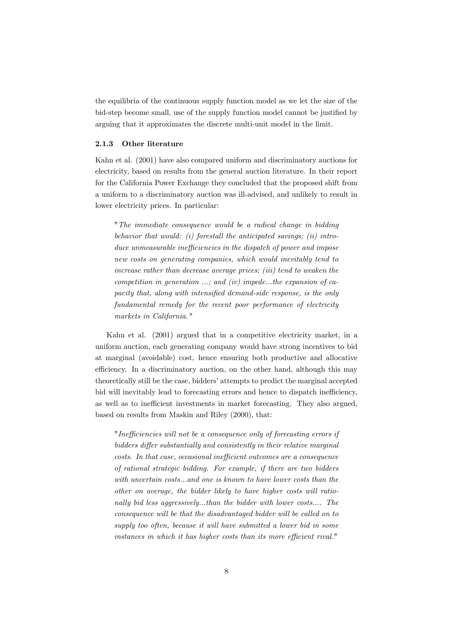the equilibria of the continuous supply function model as we let the size of the bid-step become small, use of the supply function model cannot be justified by arguing that it approximates the discrete multi-unit model in the limit.

#### 2.1.3 Other literature

Kahn et al. (2001) have also compared uniform and discriminatory auctions for electricity, based on results from the general auction literature. In their report for the California Power Exchange they concluded that the proposed shift from a uniform to a discriminatory auction was ill-advised, and unlikely to result in lower electricity prices. In particular:

"The immediate consequence would be a radical change in bidding behavior that would: (i) forestall the anticipated savings; (ii) introduce unmeasurable inefficiencies in the dispatch of power and impose new costs on generating companies, which would inevitably tend to increase rather than decrease average prices; (iii) tend to weaken the competition in generation  $\ldots$ ; and (iv) impede...the expansion of capacity that, along with intensified demand-side response, is the only fundamental remedy for the recent poor performance of electricity markets in California."

Kahn et al. (2001) argued that in a competitive electricity market, in a uniform auction, each generating company would have strong incentives to bid at marginal (avoidable) cost, hence ensuring both productive and allocative efficiency. In a discriminatory auction, on the other hand, although this may theoretically still be the case, bidders' attempts to predict the marginal accepted bid will inevitably lead to forecasting errors and hence to dispatch inefficiency, as well as to inefficient investments in market forecasting. They also argued, based on results from Maskin and Riley (2000), that:

"Inefficiencies will not be a consequence only of forecasting errors if bidders differ substantially and consistently in their relative marginal costs. In that case, occasional inefficient outcomes are a consequence of rational strategic bidding. For example, if there are two bidders with uncertain costs...and one is known to have lower costs than the other on average, the bidder likely to have higher costs will rationally bid less aggressively...than the bidder with lower costs.... The consequence will be that the disadvantaged bidder will be called on to supply too often, because it will have submitted a lower bid in some instances in which it has higher costs than its more efficient rival."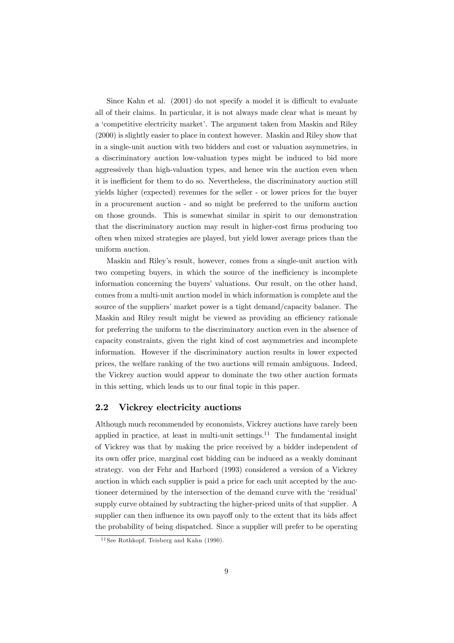Since Kahn et al. (2001) do not specify a model it is difficult to evaluate all of their claims. In particular, it is not always made clear what is meant by a 'competitive electricity market'. The argument taken from Maskin and Riley (2000) is slightly easier to place in context however. Maskin and Riley show that in a single-unit auction with two bidders and cost or valuation asymmetries, in a discriminatory auction low-valuation types might be induced to bid more aggressively than high-valuation types, and hence win the auction even when it is inefficient for them to do so. Nevertheless, the discriminatory auction still yields higher (expected) revenues for the seller - or lower prices for the buyer in a procurement auction - and so might be preferred to the uniform auction on those grounds. This is somewhat similar in spirit to our demonstration that the discriminatory auction may result in higher-cost firms producing too often when mixed strategies are played, but yield lower average prices than the uniform auction.

Maskin and Riley's result, however, comes from a single-unit auction with two competing buyers, in which the source of the inefficiency is incomplete information concerning the buyers' valuations. Our result, on the other hand, comes from a multi-unit auction model in which information is complete and the source of the suppliers' market power is a tight demand/capacity balance. The Maskin and Riley result might be viewed as providing an efficiency rationale for preferring the uniform to the discriminatory auction even in the absence of capacity constraints, given the right kind of cost asymmetries and incomplete information. However if the discriminatory auction results in lower expected prices, the welfare ranking of the two auctions will remain ambiguous. Indeed, the Vickrey auction would appear to dominate the two other auction formats in this setting, which leads us to our final topic in this paper.

#### 2.2 Vickrey electricity auctions

Although much recommended by economists, Vickrey auctions have rarely been applied in practice, at least in multi-unit settings.<sup>11</sup> The fundamental insight of Vickrey was that by making the price received by a bidder independent of its own offer price, marginal cost bidding can be induced as a weakly dominant strategy. von der Fehr and Harbord (1993) considered a version of a Vickrey auction in which each supplier is paid a price for each unit accepted by the auctioneer determined by the intersection of the demand curve with the 'residual' supply curve obtained by subtracting the higher-priced units of that supplier. A supplier can then influence its own payoff only to the extent that its bids affect the probability of being dispatched. Since a supplier will prefer to be operating

 $11$  See Rothkopf, Teisberg and Kahn (1990).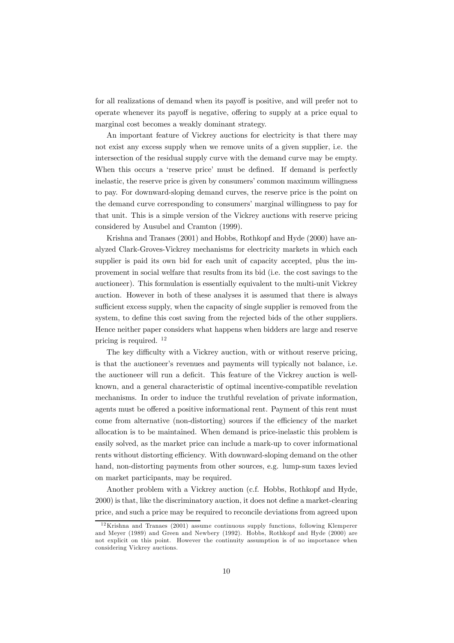for all realizations of demand when its payoff is positive, and will prefer not to operate whenever its payoff is negative, offering to supply at a price equal to marginal cost becomes a weakly dominant strategy.

An important feature of Vickrey auctions for electricity is that there may not exist any excess supply when we remove units of a given supplier, i.e. the intersection of the residual supply curve with the demand curve may be empty. When this occurs a 'reserve price' must be defined. If demand is perfectly inelastic, the reserve price is given by consumers' common maximum willingness to pay. For downward-sloping demand curves, the reserve price is the point on the demand curve corresponding to consumers' marginal willingness to pay for that unit. This is a simple version of the Vickrey auctions with reserve pricing considered by Ausubel and Cramton (1999).

Krishna and Tranaes (2001) and Hobbs, Rothkopf and Hyde (2000) have analyzed Clark-Groves-Vickrey mechanisms for electricity markets in which each supplier is paid its own bid for each unit of capacity accepted, plus the improvement in social welfare that results from its bid (i.e. the cost savings to the auctioneer). This formulation is essentially equivalent to the multi-unit Vickrey auction. However in both of these analyses it is assumed that there is always sufficient excess supply, when the capacity of single supplier is removed from the system, to define this cost saving from the rejected bids of the other suppliers. Hence neither paper considers what happens when bidders are large and reserve pricing is required. <sup>12</sup>

The key difficulty with a Vickrey auction, with or without reserve pricing, is that the auctioneer's revenues and payments will typically not balance, i.e. the auctioneer will run a deficit. This feature of the Vickrey auction is wellknown, and a general characteristic of optimal incentive-compatible revelation mechanisms. In order to induce the truthful revelation of private information, agents must be offered a positive informational rent. Payment of this rent must come from alternative (non-distorting) sources if the efficiency of the market allocation is to be maintained. When demand is price-inelastic this problem is easily solved, as the market price can include a mark-up to cover informational rents without distorting efficiency. With downward-sloping demand on the other hand, non-distorting payments from other sources, e.g. lump-sum taxes levied on market participants, may be required.

Another problem with a Vickrey auction (c.f. Hobbs, Rothkopf and Hyde, 2000) is that, like the discriminatory auction, it does not define a market-clearing price, and such a price may be required to reconcile deviations from agreed upon

<sup>&</sup>lt;sup>12</sup>Krishna and Tranaes (2001) assume continuous supply functions, following Klemperer and Meyer (1989) and Green and Newbery (1992). Hobbs, Rothkopf and Hyde (2000) are not explicit on this point. However the continuity assumption is of no importance when considering Vickrey auctions.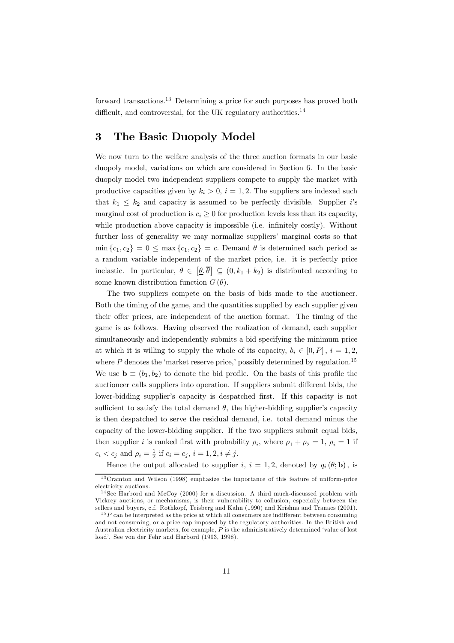forward transactions.13 Determining a price for such purposes has proved both difficult, and controversial, for the UK regulatory authorities.<sup>14</sup>

# 3 The Basic Duopoly Model

We now turn to the welfare analysis of the three auction formats in our basic duopoly model, variations on which are considered in Section 6. In the basic duopoly model two independent suppliers compete to supply the market with productive capacities given by  $k_i > 0$ ,  $i = 1, 2$ . The suppliers are indexed such that  $k_1 \leq k_2$  and capacity is assumed to be perfectly divisible. Supplier i's marginal cost of production is  $c_i \geq 0$  for production levels less than its capacity, while production above capacity is impossible (i.e. infinitely costly). Without further loss of generality we may normalize suppliers' marginal costs so that  $\min \{c_1, c_2\} = 0 \le \max \{c_1, c_2\} = c$ . Demand  $\theta$  is determined each period as a random variable independent of the market price, i.e. it is perfectly price inelastic. In particular,  $\theta \in [\underline{\theta}, \overline{\theta}] \subseteq (0, k_1 + k_2)$  is distributed according to some known distribution function  $G(\theta)$ .

The two suppliers compete on the basis of bids made to the auctioneer. Both the timing of the game, and the quantities supplied by each supplier given their offer prices, are independent of the auction format. The timing of the game is as follows. Having observed the realization of demand, each supplier simultaneously and independently submits a bid specifying the minimum price at which it is willing to supply the whole of its capacity,  $b_i \in [0, P]$ ,  $i = 1, 2$ , where P denotes the 'market reserve price,' possibly determined by regulation.<sup>15</sup> We use  $\mathbf{b} \equiv (b_1, b_2)$  to denote the bid profile. On the basis of this profile the auctioneer calls suppliers into operation. If suppliers submit different bids, the lower-bidding supplier's capacity is despatched first. If this capacity is not sufficient to satisfy the total demand  $\theta$ , the higher-bidding supplier's capacity is then despatched to serve the residual demand, i.e. total demand minus the capacity of the lower-bidding supplier. If the two suppliers submit equal bids, then supplier *i* is ranked first with probability  $\rho_i$ , where  $\rho_1 + \rho_2 = 1$ ,  $\rho_i = 1$  if  $c_i < c_j$  and  $\rho_i = \frac{1}{2}$  if  $c_i = c_j$ ,  $i = 1, 2, i \neq j$ .

Hence the output allocated to supplier i,  $i = 1, 2$ , denoted by  $q_i(\theta; \mathbf{b})$ , is

 $13$ Cramton and Wilson (1998) emphasize the importance of this feature of uniform-price electricity auctions.

<sup>&</sup>lt;sup>14</sup> See Harbord and McCoy (2000) for a discussion. A third much-discussed problem with Vickrey auctions, or mechanisms, is their vulnerability to collusion, especially between the sellers and buyers, c.f. Rothkopf, Teisberg and Kahn (1990) and Krishna and Tranaes (2001).

 $15P$  can be interpreted as the price at which all consumers are indifferent between consuming and not consuming, or a price cap imposed by the regulatory authorities. In the British and Australian electricity markets, for example, P is the administratively determined 'value of lost load'. See von der Fehr and Harbord (1993, 1998).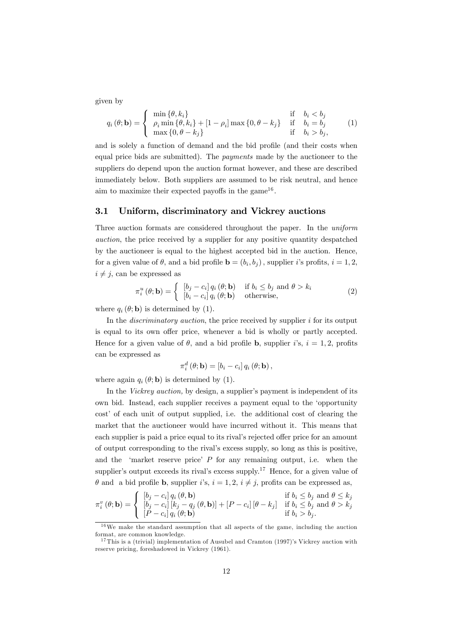given by

$$
q_i(\theta; \mathbf{b}) = \begin{cases} \min \{ \theta, k_i \} & \text{if } b_i < b_j \\ \rho_i \min \{ \theta, k_i \} + [1 - \rho_i] \max \{ 0, \theta - k_j \} & \text{if } b_i = b_j \\ \max \{ 0, \theta - k_j \} & \text{if } b_i > b_j, \end{cases}
$$
 (1)

and is solely a function of demand and the bid profile (and their costs when equal price bids are submitted). The *payments* made by the auctioneer to the suppliers do depend upon the auction format however, and these are described immediately below. Both suppliers are assumed to be risk neutral, and hence aim to maximize their expected payoffs in the game<sup>16</sup>.

#### 3.1 Uniform, discriminatory and Vickrey auctions

Three auction formats are considered throughout the paper. In the uniform auction, the price received by a supplier for any positive quantity despatched by the auctioneer is equal to the highest accepted bid in the auction. Hence, for a given value of  $\theta$ , and a bid profile  $\mathbf{b} = (b_i, b_j)$ , supplier *i*'s profits,  $i = 1, 2$ ,  $i \neq j$ , can be expressed as

$$
\pi_i^u(\theta; \mathbf{b}) = \begin{cases} [b_j - c_i] q_i(\theta; \mathbf{b}) & \text{if } b_i \le b_j \text{ and } \theta > k_i \\ [b_i - c_i] q_i(\theta; \mathbf{b}) & \text{otherwise,} \end{cases}
$$
(2)

where  $q_i(\theta; \mathbf{b})$  is determined by (1).

In the *discriminatory auction*, the price received by supplier  $i$  for its output is equal to its own offer price, whenever a bid is wholly or partly accepted. Hence for a given value of  $\theta$ , and a bid profile **b**, supplier i's,  $i = 1, 2$ , profits can be expressed as

$$
\pi_i^d(\theta; \mathbf{b}) = [b_i - c_i] q_i(\theta; \mathbf{b}),
$$

where again  $q_i(\theta; \mathbf{b})$  is determined by (1).

In the Vickrey auction, by design, a supplier's payment is independent of its own bid. Instead, each supplier receives a payment equal to the 'opportunity cost' of each unit of output supplied, i.e. the additional cost of clearing the market that the auctioneer would have incurred without it. This means that each supplier is paid a price equal to its rival's rejected offer price for an amount of output corresponding to the rival's excess supply, so long as this is positive, and the 'market reserve price'  $P$  for any remaining output, i.e. when the supplier's output exceeds its rival's excess supply.<sup>17</sup> Hence, for a given value of  $\theta$  and a bid profile **b**, supplier i's,  $i = 1, 2, i \neq j$ , profits can be expressed as,

$$
\pi_i^v(\theta; \mathbf{b}) = \begin{cases}\n\begin{aligned}\n\left[b_j - c_i\right] q_i(\theta, \mathbf{b}) & \text{if } b_i \le b_j \text{ and } \theta \le k_j \\
\left[b_j - c_i\right] \left[k_j - q_j(\theta, \mathbf{b})\right] + \left[P - c_i\right] \left[\theta - k_j\right] & \text{if } b_i \le b_j \text{ and } \theta > k_j \\
\left[P - c_i\right] q_i(\theta; \mathbf{b}) & \text{if } b_i > b_j.\n\end{aligned}\n\end{cases}
$$

 $16\,\text{We make the standard assumption that all aspects of the game, including the auction.}$ format, are common knowledge.

 $17$ This is a (trivial) implementation of Ausubel and Cramton (1997)'s Vickrey auction with reserve pricing, foreshadowed in Vickrey (1961).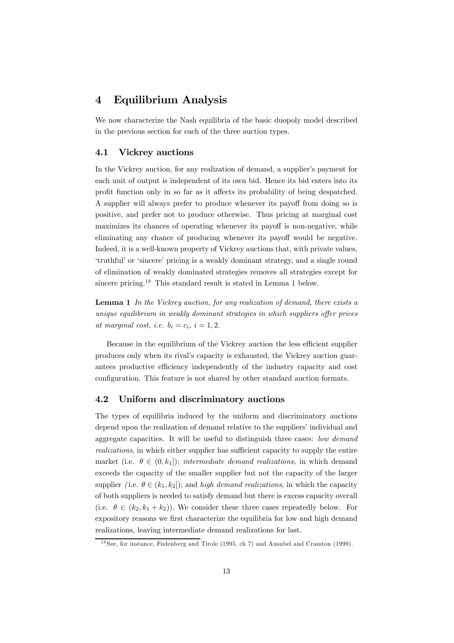# 4 Equilibrium Analysis

We now characterize the Nash equilibria of the basic duopoly model described in the previous section for each of the three auction types.

#### 4.1 Vickrey auctions

In the Vickrey auction, for any realization of demand, a supplier's payment for each unit of output is independent of its own bid. Hence its bid enters into its profit function only in so far as it affects its probability of being despatched. A supplier will always prefer to produce whenever its payoff from doing so is positive, and prefer not to produce otherwise. Thus pricing at marginal cost maximizes its chances of operating whenever its payoff is non-negative, while eliminating any chance of producing whenever its payoff would be negative. Indeed, it is a well-known property of Vickrey auctions that, with private values, 'truthful' or 'sincere' pricing is a weakly dominant strategy, and a single round of elimination of weakly dominated strategies removes all strategies except for sincere pricing.18 This standard result is stated in Lemma 1 below.

**Lemma 1** In the Vickrey auction, for any realization of demand, there exists a unique equilibrium in weakly dominant strategies in which suppliers offer prices at marginal cost, i.e.  $b_i = c_i$ ,  $i = 1, 2$ .

Because in the equilibrium of the Vickrey auction the less efficient supplier produces only when its rival's capacity is exhausted, the Vickrey auction guarantees productive efficiency independently of the industry capacity and cost configuration. This feature is not shared by other standard auction formats.

#### 4.2 Uniform and discriminatory auctions

The types of equilibria induced by the uniform and discriminatory auctions depend upon the realization of demand relative to the suppliers' individual and aggregate capacities. It will be useful to distinguish three cases: low demand realizations, in which either supplier has sufficient capacity to supply the entire market (i.e.  $\theta \in (0, k_1]$ ); intermediate demand realizations, in which demand exceeds the capacity of the smaller supplier but not the capacity of the larger supplier (i.e.  $\theta \in (k_1, k_2]$ ); and high demand realizations, in which the capacity of both suppliers is needed to satisfy demand but there is excess capacity overall (i.e.  $\theta \in (k_2, k_1 + k_2)$ ). We consider these three cases repeatedly below. For expository reasons we first characterize the equilibria for low and high demand realizations, leaving intermediate demand realizations for last.

<sup>&</sup>lt;sup>18</sup> See, for instance, Fudenberg and Tirole (1995, ch 7) and Ausubel and Cramton (1999).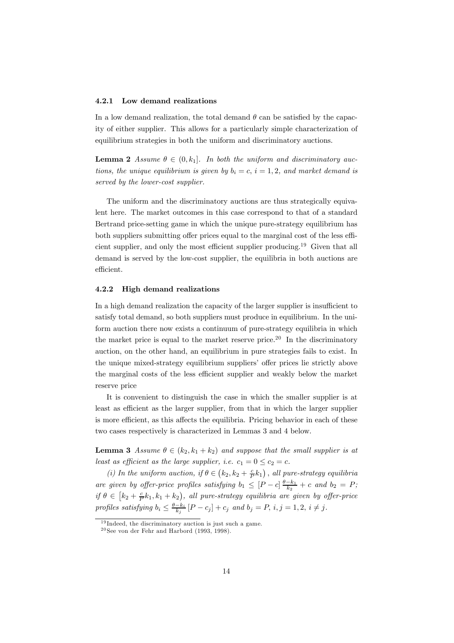#### 4.2.1 Low demand realizations

In a low demand realization, the total demand  $\theta$  can be satisfied by the capacity of either supplier. This allows for a particularly simple characterization of equilibrium strategies in both the uniform and discriminatory auctions.

**Lemma 2** Assume  $\theta \in (0, k_1]$ . In both the uniform and discriminatory auctions, the unique equilibrium is given by  $b_i = c$ ,  $i = 1, 2$ , and market demand is served by the lower-cost supplier.

The uniform and the discriminatory auctions are thus strategically equivalent here. The market outcomes in this case correspond to that of a standard Bertrand price-setting game in which the unique pure-strategy equilibrium has both suppliers submitting offer prices equal to the marginal cost of the less efficient supplier, and only the most efficient supplier producing.<sup>19</sup> Given that all demand is served by the low-cost supplier, the equilibria in both auctions are efficient.

#### 4.2.2 High demand realizations

In a high demand realization the capacity of the larger supplier is insufficient to satisfy total demand, so both suppliers must produce in equilibrium. In the uniform auction there now exists a continuum of pure-strategy equilibria in which the market price is equal to the market reserve price.<sup>20</sup> In the discriminatory auction, on the other hand, an equilibrium in pure strategies fails to exist. In the unique mixed-strategy equilibrium suppliers' offer prices lie strictly above the marginal costs of the less efficient supplier and weakly below the market reserve price

It is convenient to distinguish the case in which the smaller supplier is at least as efficient as the larger supplier, from that in which the larger supplier is more efficient, as this affects the equilibria. Pricing behavior in each of these two cases respectively is characterized in Lemmas 3 and 4 below.

**Lemma 3** Assume  $\theta \in (k_2, k_1 + k_2)$  and suppose that the small supplier is at least as efficient as the large supplier, i.e.  $c_1 = 0 \le c_2 = c$ .

(i) In the uniform auction, if  $\theta \in (k_2, k_2 + \frac{c}{P}k_1)$ , all pure-strategy equilibria are given by offer-price profiles satisfying  $b_1 \leq [P-c] \frac{\theta - k_1}{k_2} + c$  and  $b_2 = P$ ; if  $\theta \in [k_2 + \frac{c}{P}k_1, k_1 + k_2)$ , all pure-strategy equilibria are given by offer-price profiles satisfying  $b_i \leq \frac{\theta - k_i}{k_j} [P - c_j] + c_j$  and  $b_j = P$ ,  $i, j = 1, 2, i \neq j$ .

 $19$  Indeed, the discriminatory auction is just such a game.

 $^{20}$ See von der Fehr and Harbord (1993, 1998).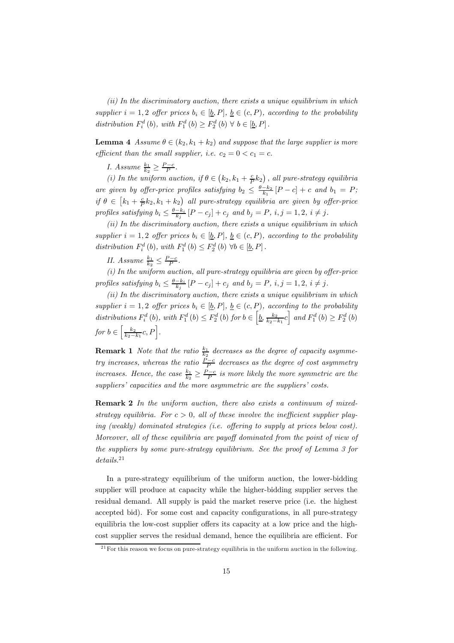(ii) In the discriminatory auction, there exists a unique equilibrium in which supplier  $i = 1, 2$  offer prices  $b_i \in [\underline{b}, P]$ ,  $\underline{b} \in (c, P)$ , according to the probability distribution  $F_i^d(b)$ , with  $F_1^d(b) \geq F_2^d(b) \forall b \in [\underline{b}, P]$ .

**Lemma 4** Assume  $\theta \in (k_2, k_1 + k_2)$  and suppose that the large supplier is more efficient than the small supplier, i.e.  $c_2 = 0 < c_1 = c$ .

I. Assume  $\frac{k_1}{k_2} \geq \frac{P-c}{P}$ .

(i) In the uniform auction, if  $\theta \in (k_2, k_1 + \frac{c}{P}k_2)$ , all pure-strategy equilibria are given by offer-price profiles satisfying  $b_2 \leq \frac{\theta - k_2}{k_1} [P - c] + c$  and  $b_1 = P$ ; if  $\theta \in [k_1 + \frac{c}{P}k_2, k_1 + k_2]$  all pure-strategy equilibria are given by offer-price profiles satisfying  $b_i \leq \frac{\theta - k_i}{k_j} [P - c_j] + c_j$  and  $b_j = P$ ,  $i, j = 1, 2, i \neq j$ .

(ii) In the discriminatory auction, there exists a unique equilibrium in which supplier  $i = 1, 2$  offer prices  $b_i \in [\underline{b}, P]$ ,  $\underline{b} \in (c, P)$ , according to the probability distribution  $F_i^d(b)$ , with  $F_1^d(b) \leq F_2^d(b) \forall b \in [\underline{b}, P]$ .

II. Assume  $\frac{k_1}{k_2} \leq \frac{P-c}{P}$ .

 $(i)$  In the uniform auction, all pure-strategy equilibria are given by offer-price profiles satisfying  $b_i \leq \frac{\theta - k_i}{k_j} [P - c_j] + c_j$  and  $b_j = P$ ,  $i, j = 1, 2, i \neq j$ .

(ii) In the discriminatory auction, there exists a unique equilibrium in which supplier  $i = 1, 2$  offer prices  $b_i \in [\underline{b}, P]$ ,  $\underline{b} \in (c, P)$ , according to the probability distributions  $F_i^d(b)$ , with  $F_1^d(b) \leq F_2^d(b)$  for  $b \in \left[b, \frac{k_2}{k_2 - k_1}c\right]$  and  $F_1^d(b) \geq F_2^d(b)$ for  $b \in \left[\frac{k_2}{k_2 - k_1}c, P\right]$ .

**Remark 1** Note that the ratio  $\frac{k_1}{k_2}$  decreases as the degree of capacity asymmetry increases, whereas the ratio  $\frac{P-c}{P}$  decreases as the degree of cost asymmetry increases. Hence, the case  $\frac{k_1}{k_2} \geq \frac{P-c}{P}$  is more likely the more symmetric are the suppliers' capacities and the more asymmetric are the suppliers' costs.

Remark 2 In the uniform auction, there also exists a continuum of mixedstrategy equilibria. For  $c > 0$ , all of these involve the inefficient supplier playing (weakly) dominated strategies (i.e. offering to supply at prices below cost). Moreover, all of these equilibria are payoff dominated from the point of view of the suppliers by some pure-strategy equilibrium. See the proof of Lemma 3 for details.<sup>21</sup>

In a pure-strategy equilibrium of the uniform auction, the lower-bidding supplier will produce at capacity while the higher-bidding supplier serves the residual demand. All supply is paid the market reserve price (i.e. the highest accepted bid). For some cost and capacity configurations, in all pure-strategy equilibria the low-cost supplier offers its capacity at a low price and the highcost supplier serves the residual demand, hence the equilibria are efficient. For

 $^{21}$  For this reason we focus on pure-strategy equilibria in the uniform auction in the following.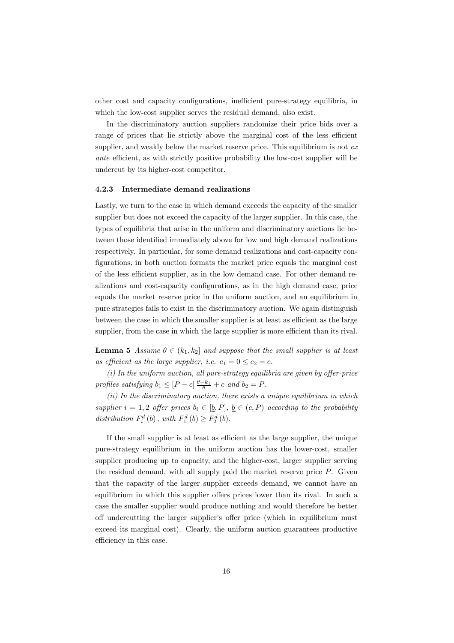other cost and capacity configurations, inefficient pure-strategy equilibria, in which the low-cost supplier serves the residual demand, also exist.

In the discriminatory auction suppliers randomize their price bids over a range of prices that lie strictly above the marginal cost of the less efficient supplier, and weakly below the market reserve price. This equilibrium is not  $ex$ ante efficient, as with strictly positive probability the low-cost supplier will be undercut by its higher-cost competitor.

#### 4.2.3 Intermediate demand realizations

Lastly, we turn to the case in which demand exceeds the capacity of the smaller supplier but does not exceed the capacity of the larger supplier. In this case, the types of equilibria that arise in the uniform and discriminatory auctions lie between those identified immediately above for low and high demand realizations respectively. In particular, for some demand realizations and cost-capacity configurations, in both auction formats the market price equals the marginal cost of the less efficient supplier, as in the low demand case. For other demand realizations and cost-capacity configurations, as in the high demand case, price equals the market reserve price in the uniform auction, and an equilibrium in pure strategies fails to exist in the discriminatory auction. We again distinguish between the case in which the smaller supplier is at least as efficient as the large supplier, from the case in which the large supplier is more efficient than its rival.

**Lemma 5** Assume  $\theta \in (k_1, k_2]$  and suppose that the small supplier is at least as efficient as the large supplier, i.e.  $c_1 = 0 \le c_2 = c$ .

 $(i)$  In the uniform auction, all pure-strategy equilibria are given by offer-price profiles satisfying  $b_1 \leq [P - c] \frac{\theta - k_1}{\theta} + c$  and  $b_2 = P$ .

(ii) In the discriminatory auction, there exists a unique equilibrium in which supplier  $i = 1, 2$  offer prices  $b_i \in [\underline{b}, P], \underline{b} \in (c, P)$  according to the probability distribution  $F_i^d(b)$ , with  $F_1^d(b) \geq F_2^d(b)$ .

If the small supplier is at least as efficient as the large supplier, the unique pure-strategy equilibrium in the uniform auction has the lower-cost, smaller supplier producing up to capacity, and the higher-cost, larger supplier serving the residual demand, with all supply paid the market reserve price  $P$ . Given that the capacity of the larger supplier exceeds demand, we cannot have an equilibrium in which this supplier offers prices lower than its rival. In such a case the smaller supplier would produce nothing and would therefore be better off undercutting the larger supplier's offer price (which in equilibrium must exceed its marginal cost). Clearly, the uniform auction guarantees productive efficiency in this case.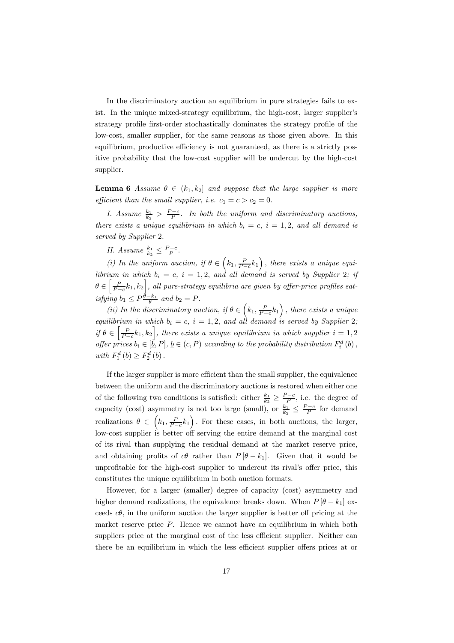In the discriminatory auction an equilibrium in pure strategies fails to exist. In the unique mixed-strategy equilibrium, the high-cost, larger supplier's strategy profile first-order stochastically dominates the strategy profile of the low-cost, smaller supplier, for the same reasons as those given above. In this equilibrium, productive efficiency is not guaranteed, as there is a strictly positive probability that the low-cost supplier will be undercut by the high-cost supplier.

**Lemma 6** Assume  $\theta \in (k_1, k_2]$  and suppose that the large supplier is more efficient than the small supplier, i.e.  $c_1 = c > c_2 = 0$ .

I. Assume  $\frac{k_1}{k_2} > \frac{P-c}{P}$ . In both the uniform and discriminatory auctions, there exists a unique equilibrium in which  $b_i = c$ ,  $i = 1, 2$ , and all demand is served by Supplier 2.

II. Assume  $\frac{k_1}{k_2} \leq \frac{P-c}{P}$ .

(i) In the uniform auction, if  $\theta \in (k_1, \frac{P}{P-c}k_1)$ , there exists a unique equilibrium in which  $b_i = c, i = 1, 2,$  and all demand is served by Supplier 2; if  $\theta \in \left[\frac{P}{P-c}k_1, k_2\right]$ , all pure-strategy equilibria are given by offer-price profiles satisfying  $b_1 \leq P \frac{\theta - k_1}{\theta}$  and  $b_2 = P$ .

(ii) In the discriminatory auction, if  $\theta \in (k_1, \frac{P}{P-c}k_1)$ , there exists a unique equilibrium in which  $b_i = c$ ,  $i = 1, 2$ , and all demand is served by Supplier 2; if  $\theta \in \left[\frac{P}{P-c}k_1, k_2\right]$ , there exists a unique equilibrium in which supplier  $i = 1, 2$ offer prices  $b_i \in [\underline{\vec{b}}, P]$ ,  $\underline{b} \in (c, P)$  according to the probability distribution  $F_i^d(b)$ , with  $F_1^d(b) \geq F_2^d(b)$ .

If the larger supplier is more efficient than the small supplier, the equivalence between the uniform and the discriminatory auctions is restored when either one of the following two conditions is satisfied: either  $\frac{k_1}{k_2} \geq \frac{P-c}{P}$ , i.e. the degree of capacity (cost) asymmetry is not too large (small), or  $\frac{k_1}{k_2} \leq \frac{P-c}{P}$  for demand realizations  $\theta \in (k_1, \frac{P}{P-c}k_1)$ . For these cases, in both auctions, the larger, low-cost supplier is better off serving the entire demand at the marginal cost of its rival than supplying the residual demand at the market reserve price, and obtaining profits of c $\theta$  rather than  $P[\theta - k_1]$ . Given that it would be unprofitable for the high-cost supplier to undercut its rival's offer price, this constitutes the unique equilibrium in both auction formats.

However, for a larger (smaller) degree of capacity (cost) asymmetry and higher demand realizations, the equivalence breaks down. When  $P[\theta - k_1]$  exceeds  $c\theta$ , in the uniform auction the larger supplier is better off pricing at the market reserve price  $P$ . Hence we cannot have an equilibrium in which both suppliers price at the marginal cost of the less efficient supplier. Neither can there be an equilibrium in which the less efficient supplier offers prices at or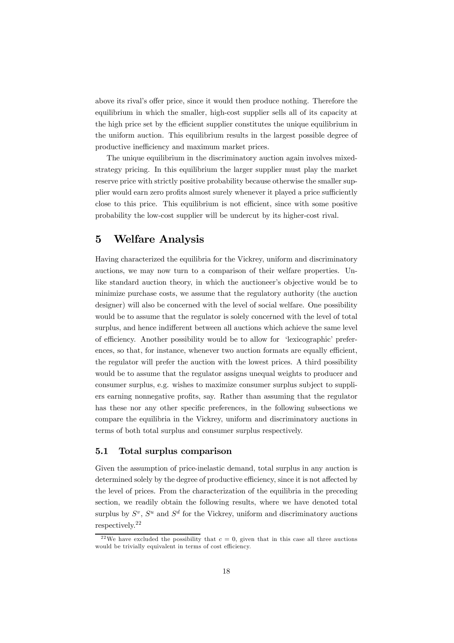above its rival's offer price, since it would then produce nothing. Therefore the equilibrium in which the smaller, high-cost supplier sells all of its capacity at the high price set by the efficient supplier constitutes the unique equilibrium in the uniform auction. This equilibrium results in the largest possible degree of productive inefficiency and maximum market prices.

The unique equilibrium in the discriminatory auction again involves mixedstrategy pricing. In this equilibrium the larger supplier must play the market reserve price with strictly positive probability because otherwise the smaller supplier would earn zero profits almost surely whenever it played a price sufficiently close to this price. This equilibrium is not efficient, since with some positive probability the low-cost supplier will be undercut by its higher-cost rival.

# 5 Welfare Analysis

Having characterized the equilibria for the Vickrey, uniform and discriminatory auctions, we may now turn to a comparison of their welfare properties. Unlike standard auction theory, in which the auctioneer's objective would be to minimize purchase costs, we assume that the regulatory authority (the auction designer) will also be concerned with the level of social welfare. One possibility would be to assume that the regulator is solely concerned with the level of total surplus, and hence indifferent between all auctions which achieve the same level of efficiency. Another possibility would be to allow for 'lexicographic' preferences, so that, for instance, whenever two auction formats are equally efficient, the regulator will prefer the auction with the lowest prices. A third possibility would be to assume that the regulator assigns unequal weights to producer and consumer surplus, e.g. wishes to maximize consumer surplus subject to suppliers earning nonnegative profits, say. Rather than assuming that the regulator has these nor any other specific preferences, in the following subsections we compare the equilibria in the Vickrey, uniform and discriminatory auctions in terms of both total surplus and consumer surplus respectively.

#### 5.1 Total surplus comparison

Given the assumption of price-inelastic demand, total surplus in any auction is determined solely by the degree of productive efficiency, since it is not affected by the level of prices. From the characterization of the equilibria in the preceding section, we readily obtain the following results, where we have denoted total surplus by  $S^v$ ,  $S^u$  and  $S^d$  for the Vickrey, uniform and discriminatory auctions respectively.22

<sup>&</sup>lt;sup>22</sup>We have excluded the possibility that  $c = 0$ , given that in this case all three auctions would be trivially equivalent in terms of cost efficiency.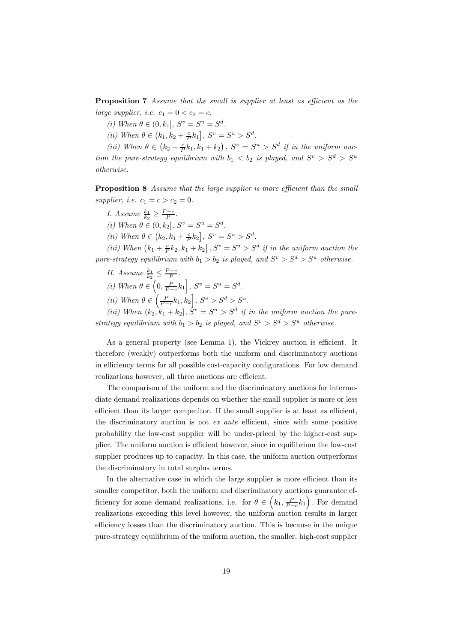Proposition 7 Assume that the small is supplier at least as efficient as the large supplier, i.e.  $c_1 = 0 < c_2 = c$ .

(i) When  $\theta \in (0, k_1]$ ,  $S^v = S^u = S^d$ .

(ii) When  $\theta \in (k_1, k_2 + \frac{c}{P}k_1], S^v = S^u > S^d.$ 

(iii) When  $\theta \in (k_2 + \frac{c}{P}k_1, k_1 + k_2)$ ,  $S^v = S^u > S^d$  if in the uniform auction the pure-strategy equilibrium with  $b_1 < b_2$  is played, and  $S^v > S^d > S^u$ otherwise.

Proposition 8 Assume that the large supplier is more efficient than the small supplier, i.e.  $c_1 = c > c_2 = 0$ .

I. Assume  $\frac{k_1}{k_2} \geq \frac{P-c}{P}$ .

(i) When  $\theta \in (0, k_2]$ ,  $S^v = S^u = S^d$ .

(ii) When  $\theta \in (k_2, k_1 + \frac{c}{P}k_2], S^v = S^u > S^d.$ 

(iii) When  $(k_1 + \frac{c}{P}k_2, k_1 + k_2], S^v = S^u > S^d$  if in the uniform auction the pure-strategy equilibrium with  $b_1 > b_2$  is played, and  $S^v > S^d > S^u$  otherwise.

- II. Assume  $\frac{k_1}{k_2} \leq \frac{P-c}{P}$ .
- (i) When  $\theta \in \left(0, \frac{P}{P-c}k_1\right], S^v = S^u = S^d.$
- (ii) When  $\theta \in \left(\frac{P}{P-c}k_1, k_2\right], S^v > S^d > S^u.$

(iii) When  $(k_2, k_1 + k_2, \bar{S}^v = S^u > S^d$  if in the uniform auction the purestrategy equilibrium with  $b_1 > b_2$  is played, and  $S^v > S^d > S^u$  otherwise.

As a general property (see Lemma 1), the Vickrey auction is efficient. It therefore (weakly) outperforms both the uniform and discriminatory auctions in efficiency terms for all possible cost-capacity configurations. For low demand realizations however, all three auctions are efficient.

The comparison of the uniform and the discriminatory auctions for intermediate demand realizations depends on whether the small supplier is more or less efficient than its larger competitor. If the small supplier is at least as efficient, the discriminatory auction is not ex ante efficient, since with some positive probability the low-cost supplier will be under-priced by the higher-cost supplier. The uniform auction is efficient however, since in equilibrium the low-cost supplier produces up to capacity. In this case, the uniform auction outperforms the discriminatory in total surplus terms.

In the alternative case in which the large supplier is more efficient than its smaller competitor, both the uniform and discriminatory auctions guarantee efficiency for some demand realizations, i.e. for  $\theta \in (k_1, \frac{P}{P-c}k_1)$ . For demand realizations exceeding this level however, the uniform auction results in larger efficiency losses than the discriminatory auction. This is because in the unique pure-strategy equilibrium of the uniform auction, the smaller, high-cost supplier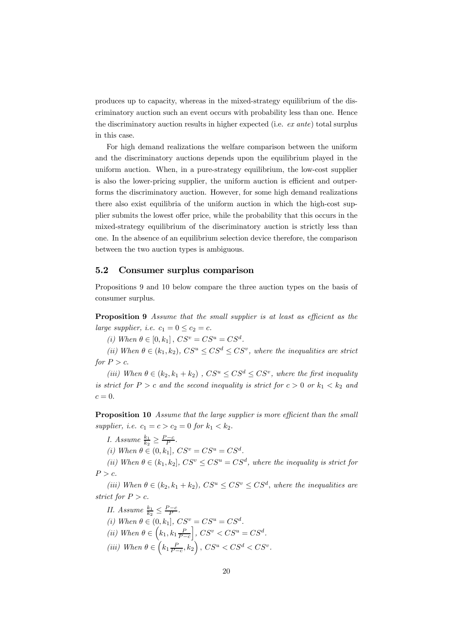produces up to capacity, whereas in the mixed-strategy equilibrium of the discriminatory auction such an event occurs with probability less than one. Hence the discriminatory auction results in higher expected (i.e.  $ex$  ante) total surplus in this case.

For high demand realizations the welfare comparison between the uniform and the discriminatory auctions depends upon the equilibrium played in the uniform auction. When, in a pure-strategy equilibrium, the low-cost supplier is also the lower-pricing supplier, the uniform auction is efficient and outperforms the discriminatory auction. However, for some high demand realizations there also exist equilibria of the uniform auction in which the high-cost supplier submits the lowest offer price, while the probability that this occurs in the mixed-strategy equilibrium of the discriminatory auction is strictly less than one. In the absence of an equilibrium selection device therefore, the comparison between the two auction types is ambiguous.

#### 5.2 Consumer surplus comparison

Propositions 9 and 10 below compare the three auction types on the basis of consumer surplus.

Proposition 9 Assume that the small supplier is at least as efficient as the large supplier, i.e.  $c_1 = 0 \leq c_2 = c$ .

(i) When  $\theta \in [0, k_1]$ ,  $CS^v = CS^u = CS^d$ .

(ii) When  $\theta \in (k_1, k_2)$ ,  $CS^u \leq CS^d \leq CS^v$ , where the inequalities are strict for  $P > c$ .

(iii) When  $\theta \in (k_2, k_1 + k_2)$ ,  $CS^u \leq CS^d \leq CS^v$ , where the first inequality is strict for  $P > c$  and the second inequality is strict for  $c > 0$  or  $k_1 < k_2$  and  $c = 0$ .

Proposition 10 Assume that the large supplier is more efficient than the small supplier, i.e.  $c_1 = c > c_2 = 0$  for  $k_1 < k_2$ .

I. Assume  $\frac{k_1}{k_2} \geq \frac{P-c}{P}$ .

(i) When  $\theta \in (0, k_1]$ ,  $CS^v = CS^u = CS^d$ .

(ii) When  $\theta \in (k_1, k_2]$ ,  $CS^v \leq CS^u = CS^d$ , where the inequality is strict for  $P > c$ .

(iii) When  $\theta \in (k_2, k_1 + k_2)$ ,  $CS^u \leq CS^v \leq CS^d$ , where the inequalities are strict for  $P > c$ .

II. Assume  $\frac{k_1}{k_2} \leq \frac{P-c}{P}$ . (i) When  $\theta \in (0, k_1], CS^v = CS^u = CS^d.$ (*ii*) When  $\theta \in (k_1, k_1 \frac{P}{P-c})$  $\Big\},$   $CS^v < CS^u = CS^d$ . (iii) When  $\theta \in \left(k_1 \frac{P}{P-c}, k_2\right)$ ,  $CS^u < CS^d < CS^v$ .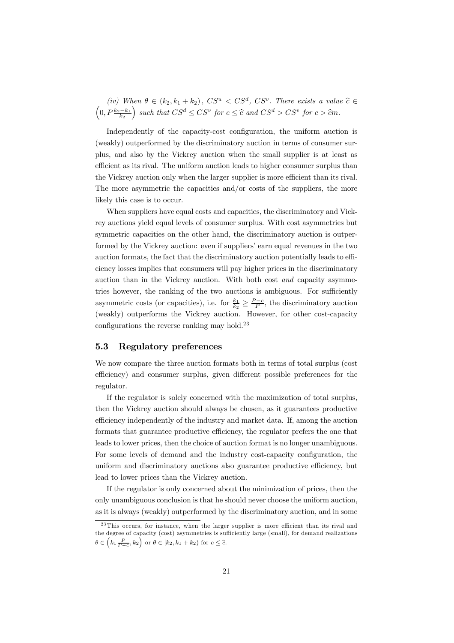(iv) When  $\theta \in (k_2, k_1 + k_2)$ ,  $CS^u < CS^d$ ,  $CS^v$ . There exists a value  $\hat{c} \in (0, P^{\frac{k_2-k_1}{k_2}})$  such that  $CS^d \leq CS^v$  for  $c \leq \hat{c}$  and  $CS^d > CS^v$  for  $c > \hat{c}m$ . ) such that  $CS^d \leq CS^v$  for  $c \leq \widehat{c}$  and  $CS^d > CS^v$  for  $c > \widehat{c}m$ .

Independently of the capacity-cost configuration, the uniform auction is (weakly) outperformed by the discriminatory auction in terms of consumer surplus, and also by the Vickrey auction when the small supplier is at least as efficient as its rival. The uniform auction leads to higher consumer surplus than the Vickrey auction only when the larger supplier is more efficient than its rival. The more asymmetric the capacities and/or costs of the suppliers, the more likely this case is to occur.

When suppliers have equal costs and capacities, the discriminatory and Vickrey auctions yield equal levels of consumer surplus. With cost asymmetries but symmetric capacities on the other hand, the discriminatory auction is outperformed by the Vickrey auction: even if suppliers' earn equal revenues in the two auction formats, the fact that the discriminatory auction potentially leads to efficiency losses implies that consumers will pay higher prices in the discriminatory auction than in the Vickrey auction. With both cost and capacity asymmetries however, the ranking of the two auctions is ambiguous. For sufficiently asymmetric costs (or capacities), i.e. for  $\frac{k_1}{k_2} \geq \frac{P-c}{P}$ , the discriminatory auction (weakly) outperforms the Vickrey auction. However, for other cost-capacity configurations the reverse ranking may hold.<sup>23</sup>

#### 5.3 Regulatory preferences

We now compare the three auction formats both in terms of total surplus (cost efficiency) and consumer surplus, given different possible preferences for the regulator.

If the regulator is solely concerned with the maximization of total surplus, then the Vickrey auction should always be chosen, as it guarantees productive efficiency independently of the industry and market data. If, among the auction formats that guarantee productive efficiency, the regulator prefers the one that leads to lower prices, then the choice of auction format is no longer unambiguous. For some levels of demand and the industry cost-capacity configuration, the uniform and discriminatory auctions also guarantee productive efficiency, but lead to lower prices than the Vickrey auction.

If the regulator is only concerned about the minimization of prices, then the only unambiguous conclusion is that he should never choose the uniform auction, as it is always (weakly) outperformed by the discriminatory auction, and in some

 $^{23}$ This occurs, for instance, when the larger supplier is more efficient than its rival and the degree of capacity (cost) asymmetries is sufficiently large (small), for demand realizations  $\theta \in \left(k_1 \frac{P}{P-c}, k_2\right)$  or  $\theta \in [k_2, k_1 + k_2)$  for  $c \leq \hat{c}$ .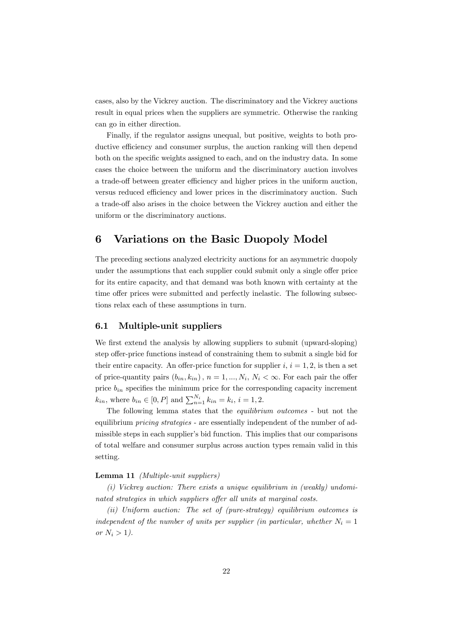cases, also by the Vickrey auction. The discriminatory and the Vickrey auctions result in equal prices when the suppliers are symmetric. Otherwise the ranking can go in either direction.

Finally, if the regulator assigns unequal, but positive, weights to both productive efficiency and consumer surplus, the auction ranking will then depend both on the specific weights assigned to each, and on the industry data. In some cases the choice between the uniform and the discriminatory auction involves a trade-off between greater efficiency and higher prices in the uniform auction, versus reduced efficiency and lower prices in the discriminatory auction. Such a trade-off also arises in the choice between the Vickrey auction and either the uniform or the discriminatory auctions.

# 6 Variations on the Basic Duopoly Model

The preceding sections analyzed electricity auctions for an asymmetric duopoly under the assumptions that each supplier could submit only a single offer price for its entire capacity, and that demand was both known with certainty at the time offer prices were submitted and perfectly inelastic. The following subsections relax each of these assumptions in turn.

#### 6.1 Multiple-unit suppliers

We first extend the analysis by allowing suppliers to submit (upward-sloping) step offer-price functions instead of constraining them to submit a single bid for their entire capacity. An offer-price function for supplier  $i, i = 1, 2$ , is then a set of price-quantity pairs  $(b_{in}, k_{in})$ ,  $n = 1, ..., N_i$ ,  $N_i < \infty$ . For each pair the offer price  $b_{in}$  specifies the minimum price for the corresponding capacity increment  $k_{in}$ , where  $b_{in} \in [0, P]$  and  $\sum_{n=1}^{N_i} k_{in} = k_i$ ,  $i = 1, 2$ .

The following lemma states that the equilibrium outcomes - but not the equilibrium *pricing strategies* - are essentially independent of the number of admissible steps in each supplier's bid function. This implies that our comparisons of total welfare and consumer surplus across auction types remain valid in this setting.

#### Lemma 11 (Multiple-unit suppliers)

(i) Vickrey auction: There exists a unique equilibrium in (weakly) undominated strategies in which suppliers offer all units at marginal costs.

(ii) Uniform auction: The set of (pure-strategy) equilibrium outcomes is independent of the number of units per supplier (in particular, whether  $N_i = 1$ or  $N_i > 1$ ).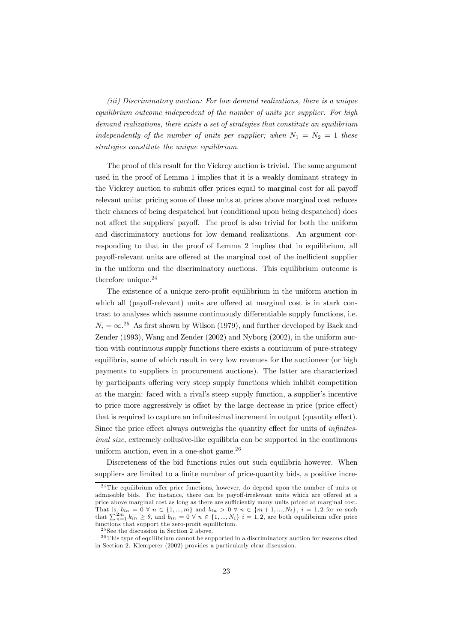(iii) Discriminatory auction: For low demand realizations, there is a unique equilibrium outcome independent of the number of units per supplier. For high demand realizations, there exists a set of strategies that constitute an equilibrium independently of the number of units per supplier; when  $N_1 = N_2 = 1$  these strategies constitute the unique equilibrium.

The proof of this result for the Vickrey auction is trivial. The same argument used in the proof of Lemma 1 implies that it is a weakly dominant strategy in the Vickrey auction to submit offer prices equal to marginal cost for all payoff relevant units: pricing some of these units at prices above marginal cost reduces their chances of being despatched but (conditional upon being despatched) does not affect the suppliers' payoff. The proof is also trivial for both the uniform and discriminatory auctions for low demand realizations. An argument corresponding to that in the proof of Lemma 2 implies that in equilibrium, all payoff-relevant units are offered at the marginal cost of the inefficient supplier in the uniform and the discriminatory auctions. This equilibrium outcome is therefore unique. $24$ 

The existence of a unique zero-profit equilibrium in the uniform auction in which all (payoff-relevant) units are offered at marginal cost is in stark contrast to analyses which assume continuously differentiable supply functions, i.e.  $N_i = \infty^{25}$  As first shown by Wilson (1979), and further developed by Back and Zender (1993), Wang and Zender (2002) and Nyborg (2002), in the uniform auction with continuous supply functions there exists a continuum of pure-strategy equilibria, some of which result in very low revenues for the auctioneer (or high payments to suppliers in procurement auctions). The latter are characterized by participants offering very steep supply functions which inhibit competition at the margin: faced with a rival's steep supply function, a supplier's incentive to price more aggressively is offset by the large decrease in price (price effect) that is required to capture an infinitesimal increment in output (quantity effect). Since the price effect always outweighs the quantity effect for units of infinitesimal size, extremely collusive-like equilibria can be supported in the continuous uniform auction, even in a one-shot game. $^{26}$ 

Discreteness of the bid functions rules out such equilibria however. When suppliers are limited to a finite number of price-quantity bids, a positive incre-

<sup>&</sup>lt;sup>24</sup>The equilibrium offer price functions, however, do depend upon the number of units or admissible bids. For instance, there can be payoff-irrelevant units which are offered at a price above marginal cost as long as there are sufficiently many units priced at marginal cost. That is,  $b_{in} = 0 \forall n \in \{1, ..., m\}$  and  $b_{in} > 0 \forall n \in \{m+1, ..., N_i\}$ ,  $i = 1, 2$  for m such that  $\sum_{n=1}^{2m} k_{in} \ge \theta$ , and  $b_{in} = 0 \forall n \in \{1, ..., N_i\}$   $i = 1, 2$ , are both equilibrium offer price functions that support the zero-profit equilibrium.

 $25$  See the discussion in Section 2 above.

 $26$ This type of equilibrium cannot be supported in a discriminatory auction for reasons cited in Section 2. Klemperer (2002) provides a particularly clear discussion.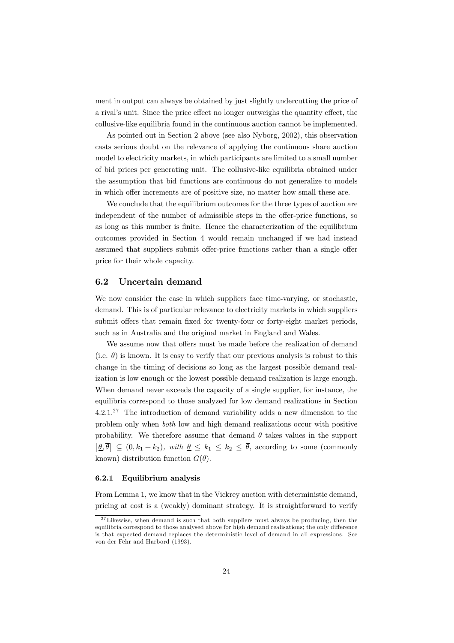ment in output can always be obtained by just slightly undercutting the price of a rival's unit. Since the price effect no longer outweighs the quantity effect, the collusive-like equilibria found in the continuous auction cannot be implemented.

As pointed out in Section 2 above (see also Nyborg, 2002), this observation casts serious doubt on the relevance of applying the continuous share auction model to electricity markets, in which participants are limited to a small number of bid prices per generating unit. The collusive-like equilibria obtained under the assumption that bid functions are continuous do not generalize to models in which offer increments are of positive size, no matter how small these are.

We conclude that the equilibrium outcomes for the three types of auction are independent of the number of admissible steps in the offer-price functions, so as long as this number is finite. Hence the characterization of the equilibrium outcomes provided in Section 4 would remain unchanged if we had instead assumed that suppliers submit offer-price functions rather than a single offer price for their whole capacity.

#### 6.2 Uncertain demand

We now consider the case in which suppliers face time-varying, or stochastic, demand. This is of particular relevance to electricity markets in which suppliers submit offers that remain fixed for twenty-four or forty-eight market periods, such as in Australia and the original market in England and Wales.

We assume now that offers must be made before the realization of demand (i.e.  $\theta$ ) is known. It is easy to verify that our previous analysis is robust to this change in the timing of decisions so long as the largest possible demand realization is low enough or the lowest possible demand realization is large enough. When demand never exceeds the capacity of a single supplier, for instance, the equilibria correspond to those analyzed for low demand realizations in Section  $4.2.1<sup>27</sup>$  The introduction of demand variability adds a new dimension to the problem only when both low and high demand realizations occur with positive probability. We therefore assume that demand  $\theta$  takes values in the support  $[\underline{\theta}, \overline{\theta}] \subseteq (0, k_1 + k_2)$ , with  $\underline{\theta} \le k_1 \le k_2 \le \overline{\theta}$ , according to some (commonly known) distribution function  $G(\theta)$ .

#### 6.2.1 Equilibrium analysis

From Lemma 1, we know that in the Vickrey auction with deterministic demand, pricing at cost is a (weakly) dominant strategy. It is straightforward to verify

 $27$  Likewise, when demand is such that both suppliers must always be producing, then the equilibria correspond to those analysed above for high demand realisations; the only difference is that expected demand replaces the deterministic level of demand in all expressions. See von der Fehr and Harbord (1993).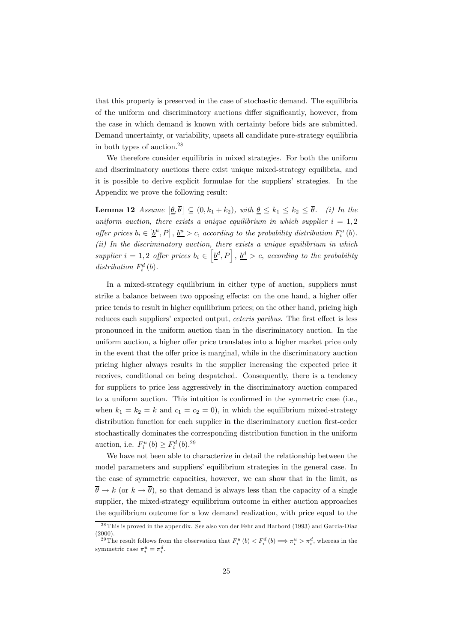that this property is preserved in the case of stochastic demand. The equilibria of the uniform and discriminatory auctions differ significantly, however, from the case in which demand is known with certainty before bids are submitted. Demand uncertainty, or variability, upsets all candidate pure-strategy equilibria in both types of auction.28

We therefore consider equilibria in mixed strategies. For both the uniform and discriminatory auctions there exist unique mixed-strategy equilibria, and it is possible to derive explicit formulae for the suppliers' strategies. In the Appendix we prove the following result:

**Lemma 12** Assume  $[\underline{\theta}, \overline{\theta}] \subseteq (0, k_1 + k_2)$ , with  $\underline{\theta} \le k_1 \le k_2 \le \overline{\theta}$ . (i) In the uniform auction, there exists a unique equilibrium in which supplier  $i = 1, 2$ offer prices  $b_i \in [\underline{b}^u, P]$ ,  $\underline{b}^u > c$ , according to the probability distribution  $F_i^u(b)$ . (ii) In the discriminatory auction, there exists a unique equilibrium in which supplier  $i = 1, 2$  offer prices  $b_i \in \left[\underline{b}^d, P\right], \, \underline{b}^d > c$ , according to the probability distribution  $F_i^d(b)$ .

In a mixed-strategy equilibrium in either type of auction, suppliers must strike a balance between two opposing effects: on the one hand, a higher offer price tends to result in higher equilibrium prices; on the other hand, pricing high reduces each suppliers' expected output, *ceteris paribus*. The first effect is less pronounced in the uniform auction than in the discriminatory auction. In the uniform auction, a higher offer price translates into a higher market price only in the event that the offer price is marginal, while in the discriminatory auction pricing higher always results in the supplier increasing the expected price it receives, conditional on being despatched. Consequently, there is a tendency for suppliers to price less aggressively in the discriminatory auction compared to a uniform auction. This intuition is confirmed in the symmetric case (i.e., when  $k_1 = k_2 = k$  and  $c_1 = c_2 = 0$ , in which the equilibrium mixed-strategy distribution function for each supplier in the discriminatory auction first-order stochastically dominates the corresponding distribution function in the uniform auction, i.e.  $F_i^u(b) \ge F_i^d(b).^{29}$ 

We have not been able to characterize in detail the relationship between the model parameters and suppliers' equilibrium strategies in the general case. In the case of symmetric capacities, however, we can show that in the limit, as  $\bar{\theta} \rightarrow k$  (or  $k \rightarrow \bar{\theta}$ ), so that demand is always less than the capacity of a single supplier, the mixed-strategy equilibrium outcome in either auction approaches the equilibrium outcome for a low demand realization, with price equal to the

<sup>&</sup>lt;sup>28</sup>This is proved in the appendix. See also von der Fehr and Harbord (1993) and Garcia-Diaz  $(2000).$ 

<sup>&</sup>lt;sup>29</sup>The result follows from the observation that  $F_i^u(b) < F_i^d(b) \implies \pi_i^u > \pi_i^d$ , whereas in the symmetric case  $\pi_i^u = \pi_i^d$ .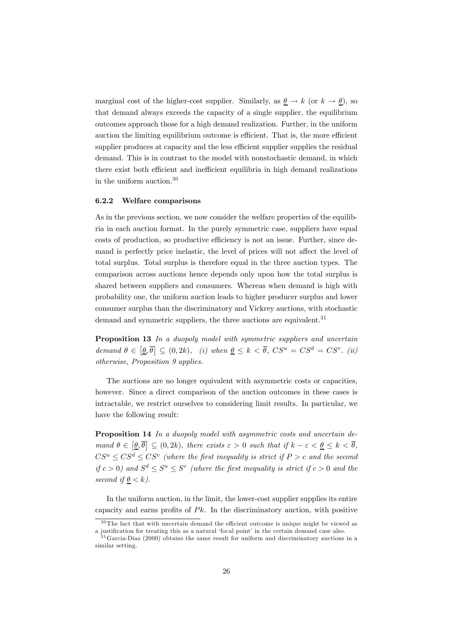marginal cost of the higher-cost supplier. Similarly, as  $\underline{\theta} \to k$  (or  $k \to \underline{\theta}$ ), so that demand always exceeds the capacity of a single supplier, the equilibrium outcomes approach those for a high demand realization. Further, in the uniform auction the limiting equilibrium outcome is efficient. That is, the more efficient supplier produces at capacity and the less efficient supplier supplies the residual demand. This is in contrast to the model with nonstochastic demand, in which there exist both efficient and inefficient equilibria in high demand realizations in the uniform auction.<sup>30</sup>

#### 6.2.2 Welfare comparisons

As in the previous section, we now consider the welfare properties of the equilibria in each auction format. In the purely symmetric case, suppliers have equal costs of production, so productive efficiency is not an issue. Further, since demand is perfectly price inelastic, the level of prices will not affect the level of total surplus. Total surplus is therefore equal in the three auction types. The comparison across auctions hence depends only upon how the total surplus is shared between suppliers and consumers. Whereas when demand is high with probability one, the uniform auction leads to higher producer surplus and lower consumer surplus than the discriminatory and Vickrey auctions, with stochastic demand and symmetric suppliers, the three auctions are equivalent.<sup>31</sup>

**Proposition 13** In a duopoly model with symmetric suppliers and uncertain demand  $\theta \in [\underline{\theta}, \overline{\theta}] \subseteq (0, 2k)$ , (i) when  $\underline{\theta} \le k < \overline{\theta}$ ,  $CS^u = CS^d = CS^v$ . (ii) otherwise, Proposition 9 applies.

The auctions are no longer equivalent with asymmetric costs or capacities, however. Since a direct comparison of the auction outcomes in these cases is intractable, we restrict ourselves to considering limit results. In particular, we have the following result:

Proposition 14 In a duopoly model with asymmetric costs and uncertain demand  $\theta \in [\underline{\theta}, \overline{\theta}] \subseteq (0, 2k)$ , there exists  $\varepsilon > 0$  such that if  $k - \varepsilon < \underline{\theta} \le k < \overline{\theta}$ ,  $CS^u \leq CS^d \leq CS^v$  (where the first inequality is strict if  $P > c$  and the second if  $c > 0$ ) and  $S^d \leq S^u \leq S^v$  (where the first inequality is strict if  $c > 0$  and the second if  $\underline{\theta} < k$ .

In the uniform auction, in the limit, the lower-cost supplier supplies its entire capacity and earns profits of  $Pk$ . In the discriminatory auction, with positive

 $30$ The fact that with uncertain demand the efficient outcome is unique might be viewed as a justification for treating this as a natural 'focal point' in the certain demand case also.

 $31$ Garcia-Diaz (2000) obtains the same result for uniform and discriminatory auctions in a similar setting.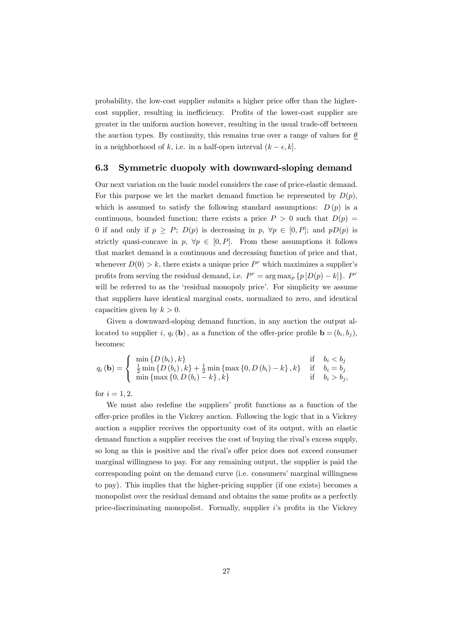probability, the low-cost supplier submits a higher price offer than the highercost supplier, resulting in inefficiency. Profits of the lower-cost supplier are greater in the uniform auction however, resulting in the usual trade-off between the auction types. By continuity, this remains true over a range of values for  $\theta$ in a neighborhood of k, i.e. in a half-open interval  $(k - \epsilon, k]$ .

#### 6.3 Symmetric duopoly with downward-sloping demand

Our next variation on the basic model considers the case of price-elastic demand. For this purpose we let the market demand function be represented by  $D(p)$ , which is assumed to satisfy the following standard assumptions:  $D(p)$  is a continuous, bounded function; there exists a price  $P > 0$  such that  $D(p) =$ 0 if and only if  $p \geq P$ ;  $D(p)$  is decreasing in  $p, \forall p \in [0, P]$ ; and  $pD(p)$  is strictly quasi-concave in  $p, \forall p \in [0, P]$ . From these assumptions it follows that market demand is a continuous and decreasing function of price and that, whenever  $D(0) > k$ , there exists a unique price  $P^r$  which maximizes a supplier's profits from serving the residual demand, i.e.  $P^r = \arg \max_p \{p[D(p) - k]\}.$  P<sup>r</sup> will be referred to as the 'residual monopoly price'. For simplicity we assume that suppliers have identical marginal costs, normalized to zero, and identical capacities given by  $k > 0$ .

Given a downward-sloping demand function, in any auction the output allocated to supplier i,  $q_i$  (b), as a function of the offer-price profile  $\mathbf{b} = (b_i, b_j)$ , becomes:

$$
q_{i}(\mathbf{b}) = \begin{cases} \min \{D(b_{i}), k\} & \text{if} \quad b_{i} < b_{j} \\ \frac{1}{2} \min \{D(b_{i}), k\} + \frac{1}{2} \min \{\max \{0, D(b_{i}) - k\}, k\} & \text{if} \quad b_{i} = b_{j} \\ \min \{\max \{0, D(b_{i}) - k\}, k\} & \text{if} \quad b_{i} > b_{j}, \end{cases}
$$

for  $i = 1, 2$ .

We must also redefine the suppliers' profit functions as a function of the offer-price profiles in the Vickrey auction. Following the logic that in a Vickrey auction a supplier receives the opportunity cost of its output, with an elastic demand function a supplier receives the cost of buying the rival's excess supply, so long as this is positive and the rival's offer price does not exceed consumer marginal willingness to pay. For any remaining output, the supplier is paid the corresponding point on the demand curve (i.e. consumers' marginal willingness to pay). This implies that the higher-pricing supplier (if one exists) becomes a monopolist over the residual demand and obtains the same profits as a perfectly price-discriminating monopolist. Formally, supplier i's profits in the Vickrey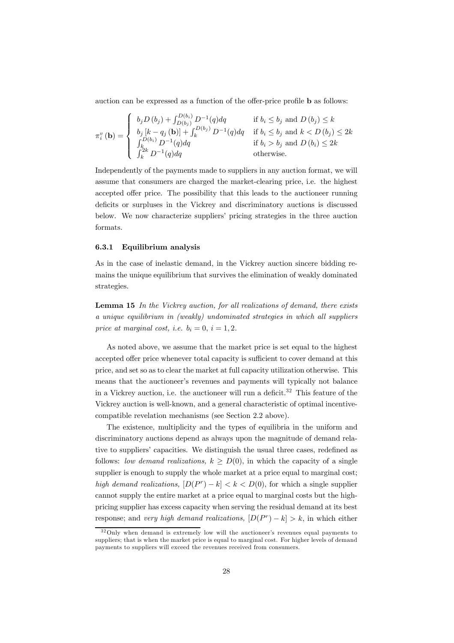auction can be expressed as a function of the offer-price profile b as follows:

$$
\pi_i^v(\mathbf{b}) = \begin{cases}\n b_j D(b_j) + \int_{D(b_j)}^{D(b_i)} D^{-1}(q) dq & \text{if } b_i \le b_j \text{ and } D(b_j) \le k \\
 b_j [k - q_j(\mathbf{b})] + \int_k^{D(b_j)} D^{-1}(q) dq & \text{if } b_i \le b_j \text{ and } k < D(b_j) \le 2k \\
 \int_k^{D(b_i)} D^{-1}(q) dq & \text{if } b_i > b_j \text{ and } D(b_i) \le 2k \\
 \int_k^{2k} D^{-1}(q) dq & \text{otherwise.} \n\end{cases}
$$

Independently of the payments made to suppliers in any auction format, we will assume that consumers are charged the market-clearing price, i.e. the highest accepted offer price. The possibility that this leads to the auctioneer running deficits or surpluses in the Vickrey and discriminatory auctions is discussed below. We now characterize suppliers' pricing strategies in the three auction formats.

#### 6.3.1 Equilibrium analysis

As in the case of inelastic demand, in the Vickrey auction sincere bidding remains the unique equilibrium that survives the elimination of weakly dominated strategies.

Lemma 15 In the Vickrey auction, for all realizations of demand, there exists a unique equilibrium in (weakly) undominated strategies in which all suppliers price at marginal cost, i.e.  $b_i = 0$ ,  $i = 1, 2$ .

As noted above, we assume that the market price is set equal to the highest accepted offer price whenever total capacity is sufficient to cover demand at this price, and set so as to clear the market at full capacity utilization otherwise. This means that the auctioneer's revenues and payments will typically not balance in a Vickrey auction, i.e. the auctioneer will run a deficit.<sup>32</sup> This feature of the Vickrey auction is well-known, and a general characteristic of optimal incentivecompatible revelation mechanisms (see Section 2.2 above).

The existence, multiplicity and the types of equilibria in the uniform and discriminatory auctions depend as always upon the magnitude of demand relative to suppliers' capacities. We distinguish the usual three cases, redefined as follows: low demand realizations,  $k \geq D(0)$ , in which the capacity of a single supplier is enough to supply the whole market at a price equal to marginal cost; high demand realizations,  $[D(P^r) - k] < k < D(0)$ , for which a single supplier cannot supply the entire market at a price equal to marginal costs but the highpricing supplier has excess capacity when serving the residual demand at its best response; and very high demand realizations,  $[D(P^r) - k] > k$ , in which either

<sup>&</sup>lt;sup>32</sup>Only when demand is extremely low will the auctioneer's revenues equal payments to suppliers; that is when the market price is equal to marginal cost. For higher levels of demand payments to suppliers will exceed the revenues received from consumers.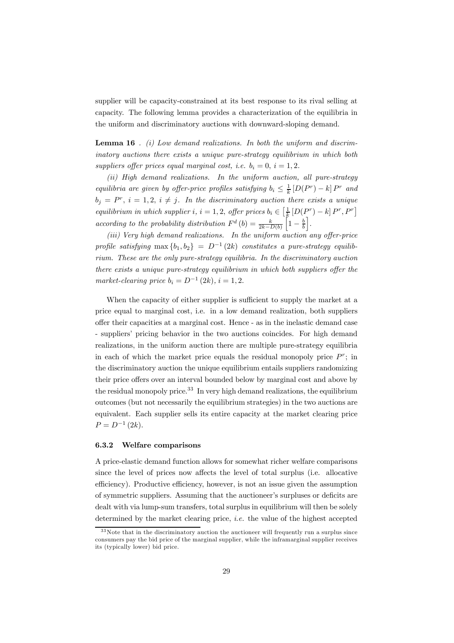supplier will be capacity-constrained at its best response to its rival selling at capacity. The following lemma provides a characterization of the equilibria in the uniform and discriminatory auctions with downward-sloping demand.

**Lemma 16** . (i) Low demand realizations. In both the uniform and discriminatory auctions there exists a unique pure-strategy equilibrium in which both suppliers offer prices equal marginal cost, i.e.  $b_i = 0$ ,  $i = 1, 2$ .

(ii) High demand realizations. In the uniform auction, all pure-strategy equilibria are given by offer-price profiles satisfying  $b_i \leq \frac{1}{k} [D(P^r) - k] P^r$  and  $b_i = P^r$ ,  $i = 1, 2, i \neq j$ . In the discriminatory auction there exists a unique equilibrium in which supplier i,  $i = 1, 2$ , offer prices  $b_i \in \left[\frac{1}{k} \left[ D(P^r) - k\right] P^r, P^r \right]$ according to the probability distribution  $F^d(b) = \frac{k}{2k - D(b)}$  $\int_0^b 1 - \frac{b}{b}$ i .

(iii) Very high demand realizations. In the uniform auction any offer-price profile satisfying max  ${b_1, b_2} = D^{-1}(2k)$  constitutes a pure-strategy equilibrium. These are the only pure-strategy equilibria. In the discriminatory auction there exists a unique pure-strategy equilibrium in which both suppliers offer the market-clearing price  $b_i = D^{-1}(2k)$ ,  $i = 1, 2$ .

When the capacity of either supplier is sufficient to supply the market at a price equal to marginal cost, i.e. in a low demand realization, both suppliers offer their capacities at a marginal cost. Hence - as in the inelastic demand case - suppliers' pricing behavior in the two auctions coincides. For high demand realizations, in the uniform auction there are multiple pure-strategy equilibria in each of which the market price equals the residual monopoly price  $P^r$ ; in the discriminatory auction the unique equilibrium entails suppliers randomizing their price offers over an interval bounded below by marginal cost and above by the residual monopoly price.<sup>33</sup> In very high demand realizations, the equilibrium outcomes (but not necessarily the equilibrium strategies) in the two auctions are equivalent. Each supplier sells its entire capacity at the market clearing price  $P = D^{-1} (2k)$ .

#### 6.3.2 Welfare comparisons

A price-elastic demand function allows for somewhat richer welfare comparisons since the level of prices now affects the level of total surplus (i.e. allocative efficiency). Productive efficiency, however, is not an issue given the assumption of symmetric suppliers. Assuming that the auctioneer's surpluses or deficits are dealt with via lump-sum transfers, total surplus in equilibrium will then be solely determined by the market clearing price, *i.e.* the value of the highest accepted

 $33$  Note that in the discriminatory auction the auctioneer will frequently run a surplus since consumers pay the bid price of the marginal supplier, while the inframarginal supplier receives its (typically lower) bid price.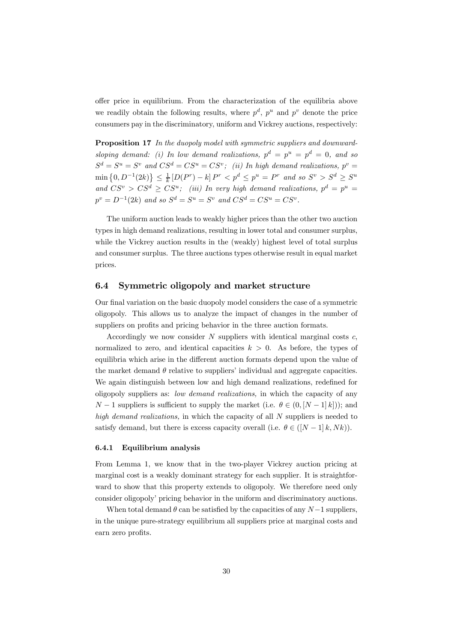offer price in equilibrium. From the characterization of the equilibria above we readily obtain the following results, where  $p^d$ ,  $p^u$  and  $p^v$  denote the price consumers pay in the discriminatory, uniform and Vickrey auctions, respectively:

**Proposition 17** In the duopoly model with symmetric suppliers and downwardsloping demand: (i) In low demand realizations,  $p^d = p^u = p^d = 0$ , and so  $S^d = S^u = S^v$  and  $CS^d = CS^u = CS^v$ ; (ii) In high demand realizations,  $p^v =$  $\min\{0, D^{-1}(2k)\} \leq \frac{1}{k} [D(P^r) - k] P^r < p^d \leq p^u = P^r$  and so  $S^v > S^d \geq S^u$ and  $CS^v > CS^d \geq CS^u$ ; (iii) In very high demand realizations,  $p^d = p^u =$  $p^v = D^{-1}(2k)$  and so  $S^d = S^u = S^v$  and  $CS^d = CS^u = CS^v$ .

The uniform auction leads to weakly higher prices than the other two auction types in high demand realizations, resulting in lower total and consumer surplus, while the Vickrey auction results in the (weakly) highest level of total surplus and consumer surplus. The three auctions types otherwise result in equal market prices.

#### 6.4 Symmetric oligopoly and market structure

Our final variation on the basic duopoly model considers the case of a symmetric oligopoly. This allows us to analyze the impact of changes in the number of suppliers on profits and pricing behavior in the three auction formats.

Accordingly we now consider  $N$  suppliers with identical marginal costs  $c$ , normalized to zero, and identical capacities  $k > 0$ . As before, the types of equilibria which arise in the different auction formats depend upon the value of the market demand  $\theta$  relative to suppliers' individual and aggregate capacities. We again distinguish between low and high demand realizations, redefined for oligopoly suppliers as: low demand realizations, in which the capacity of any  $N-1$  suppliers is sufficient to supply the market (i.e.  $\theta \in (0, [N-1]k])$ ); and high demand realizations, in which the capacity of all N suppliers is needed to satisfy demand, but there is excess capacity overall (i.e.  $\theta \in ([N-1]k, Nk)$ ).

#### 6.4.1 Equilibrium analysis

From Lemma 1, we know that in the two-player Vickrey auction pricing at marginal cost is a weakly dominant strategy for each supplier. It is straightforward to show that this property extends to oligopoly. We therefore need only consider oligopoly' pricing behavior in the uniform and discriminatory auctions.

When total demand  $\theta$  can be satisfied by the capacities of any  $N-1$  suppliers, in the unique pure-strategy equilibrium all suppliers price at marginal costs and earn zero profits.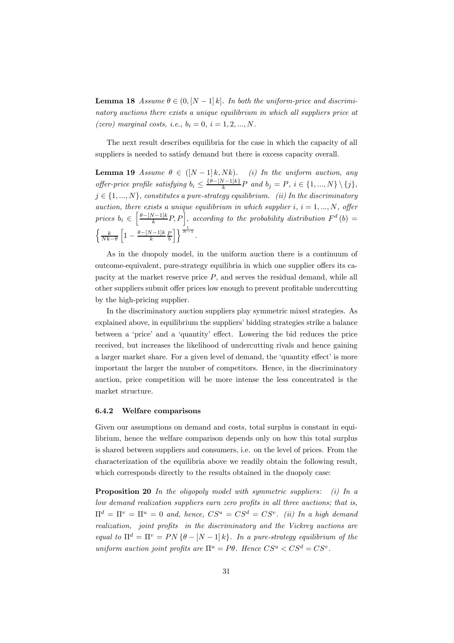**Lemma 18** Assume  $\theta \in (0, [N-1]k]$ . In both the uniform-price and discriminatory auctions there exists a unique equilibrium in which all suppliers price at (zero) marginal costs, i.e.,  $b_i = 0, i = 1, 2, ..., N$ .

The next result describes equilibria for the case in which the capacity of all suppliers is needed to satisfy demand but there is excess capacity overall.

**Lemma 19** Assume  $\theta \in ([N-1]k, Nk)$ . (i) In the uniform auction, any offer-price profile satisfying  $b_i \leq \frac{\{\theta - [N-1]k\}}{k}P$  and  $b_j = P$ ,  $i \in \{1, ..., N\} \setminus \{j\}$ ,  $j \in \{1, ..., N\}$ , constitutes a pure-strategy equilibrium. (ii) In the discriminatory auction, there exists a unique equilibrium in which supplier  $i, i = 1, ..., N$ , offer prices  $b_i \in \left[\frac{\theta-[N-1]k}{k}P, P\right]$ , according to the probability distribution  $F^d(b)$  =  $\int k$  $Nk-\theta$  $\left[1 - \frac{\theta - [N-1]k}{k} \frac{P}{b}\right]$  $\bigg\{\bigg\}^{\frac{1}{N-1}}$ .

As in the duopoly model, in the uniform auction there is a continuum of outcome-equivalent, pure-strategy equilibria in which one supplier offers its capacity at the market reserve price  $P$ , and serves the residual demand, while all other suppliers submit offer prices low enough to prevent profitable undercutting by the high-pricing supplier.

In the discriminatory auction suppliers play symmetric mixed strategies. As explained above, in equilibrium the suppliers' bidding strategies strike a balance between a 'price' and a 'quantity' effect. Lowering the bid reduces the price received, but increases the likelihood of undercutting rivals and hence gaining a larger market share. For a given level of demand, the 'quantity effect' is more important the larger the number of competitors. Hence, in the discriminatory auction, price competition will be more intense the less concentrated is the market structure.

#### 6.4.2 Welfare comparisons

Given our assumptions on demand and costs, total surplus is constant in equilibrium, hence the welfare comparison depends only on how this total surplus is shared between suppliers and consumers, i.e. on the level of prices. From the characterization of the equilibria above we readily obtain the following result, which corresponds directly to the results obtained in the duopoly case:

**Proposition 20** In the oligopoly model with symmetric suppliers: (i) In a low demand realization suppliers earn zero profits in all three auctions; that is,  $\Pi^d = \Pi^v = \Pi^u = 0$  and, hence,  $CS^u = CS^d = CS^v$ . (ii) In a high demand realization, joint profits in the discriminatory and the Vickrey auctions are equal to  $\Pi^d = \Pi^v = PN \{\theta - [N-1]k\}$ . In a pure-strategy equilibrium of the uniform auction joint profits are  $\Pi^u = P\theta$ . Hence  $CS^u < CS^d = CS^v$ .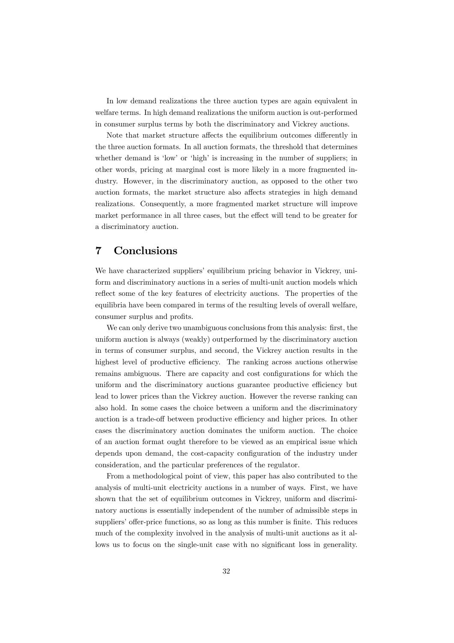In low demand realizations the three auction types are again equivalent in welfare terms. In high demand realizations the uniform auction is out-performed in consumer surplus terms by both the discriminatory and Vickrey auctions.

Note that market structure affects the equilibrium outcomes differently in the three auction formats. In all auction formats, the threshold that determines whether demand is 'low' or 'high' is increasing in the number of suppliers; in other words, pricing at marginal cost is more likely in a more fragmented industry. However, in the discriminatory auction, as opposed to the other two auction formats, the market structure also affects strategies in high demand realizations. Consequently, a more fragmented market structure will improve market performance in all three cases, but the effect will tend to be greater for a discriminatory auction.

# 7 Conclusions

We have characterized suppliers' equilibrium pricing behavior in Vickrey, uniform and discriminatory auctions in a series of multi-unit auction models which reflect some of the key features of electricity auctions. The properties of the equilibria have been compared in terms of the resulting levels of overall welfare, consumer surplus and profits.

We can only derive two unambiguous conclusions from this analysis: first, the uniform auction is always (weakly) outperformed by the discriminatory auction in terms of consumer surplus, and second, the Vickrey auction results in the highest level of productive efficiency. The ranking across auctions otherwise remains ambiguous. There are capacity and cost configurations for which the uniform and the discriminatory auctions guarantee productive efficiency but lead to lower prices than the Vickrey auction. However the reverse ranking can also hold. In some cases the choice between a uniform and the discriminatory auction is a trade-off between productive efficiency and higher prices. In other cases the discriminatory auction dominates the uniform auction. The choice of an auction format ought therefore to be viewed as an empirical issue which depends upon demand, the cost-capacity configuration of the industry under consideration, and the particular preferences of the regulator.

From a methodological point of view, this paper has also contributed to the analysis of multi-unit electricity auctions in a number of ways. First, we have shown that the set of equilibrium outcomes in Vickrey, uniform and discriminatory auctions is essentially independent of the number of admissible steps in suppliers' offer-price functions, so as long as this number is finite. This reduces much of the complexity involved in the analysis of multi-unit auctions as it allows us to focus on the single-unit case with no significant loss in generality.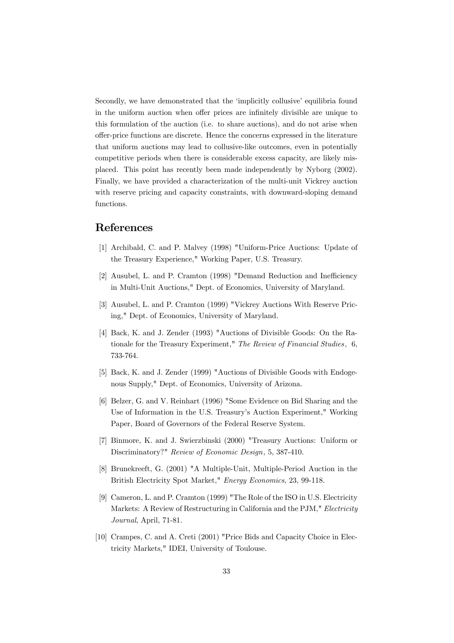Secondly, we have demonstrated that the 'implicitly collusive' equilibria found in the uniform auction when offer prices are infinitely divisible are unique to this formulation of the auction (i.e. to share auctions), and do not arise when offer-price functions are discrete. Hence the concerns expressed in the literature that uniform auctions may lead to collusive-like outcomes, even in potentially competitive periods when there is considerable excess capacity, are likely misplaced. This point has recently been made independently by Nyborg (2002). Finally, we have provided a characterization of the multi-unit Vickrey auction with reserve pricing and capacity constraints, with downward-sloping demand functions.

### References

- [1] Archibald, C. and P. Malvey (1998) "Uniform-Price Auctions: Update of the Treasury Experience," Working Paper, U.S. Treasury.
- [2] Ausubel, L. and P. Cramton (1998) "Demand Reduction and Inefficiency in Multi-Unit Auctions," Dept. of Economics, University of Maryland.
- [3] Ausubel, L. and P. Cramton (1999) "Vickrey Auctions With Reserve Pricing," Dept. of Economics, University of Maryland.
- [4] Back, K. and J. Zender (1993) "Auctions of Divisible Goods: On the Rationale for the Treasury Experiment," The Review of Financial Studies, 6, 733-764.
- [5] Back, K. and J. Zender (1999) "Auctions of Divisible Goods with Endogenous Supply," Dept. of Economics, University of Arizona.
- [6] Belzer, G. and V. Reinhart (1996) "Some Evidence on Bid Sharing and the Use of Information in the U.S. Treasury's Auction Experiment," Working Paper, Board of Governors of the Federal Reserve System.
- [7] Binmore, K. and J. Swierzbinski (2000) "Treasury Auctions: Uniform or Discriminatory?" Review of Economic Design, 5, 387-410.
- [8] Brunekreeft, G. (2001) "A Multiple-Unit, Multiple-Period Auction in the British Electricity Spot Market," Energy Economics, 23, 99-118.
- [9] Cameron, L. and P. Cramton (1999) "The Role of the ISO in U.S. Electricity Markets: A Review of Restructuring in California and the PJM," Electricity Journal, April, 71-81.
- [10] Crampes, C. and A. Creti (2001) "Price Bids and Capacity Choice in Electricity Markets," IDEI, University of Toulouse.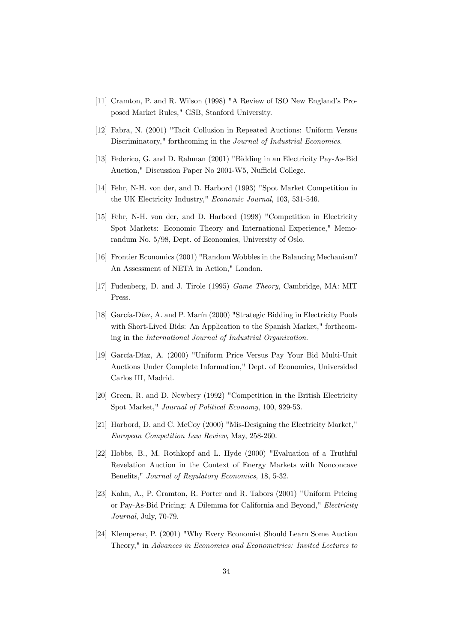- [11] Cramton, P. and R. Wilson (1998) "A Review of ISO New England's Proposed Market Rules," GSB, Stanford University.
- [12] Fabra, N. (2001) "Tacit Collusion in Repeated Auctions: Uniform Versus Discriminatory," forthcoming in the Journal of Industrial Economics.
- [13] Federico, G. and D. Rahman (2001) "Bidding in an Electricity Pay-As-Bid Auction," Discussion Paper No 2001-W5, Nuffield College.
- [14] Fehr, N-H. von der, and D. Harbord (1993) "Spot Market Competition in the UK Electricity Industry," Economic Journal, 103, 531-546.
- [15] Fehr, N-H. von der, and D. Harbord (1998) "Competition in Electricity Spot Markets: Economic Theory and International Experience," Memorandum No. 5/98, Dept. of Economics, University of Oslo.
- [16] Frontier Economics (2001) "Random Wobbles in the Balancing Mechanism? An Assessment of NETA in Action," London.
- [17] Fudenberg, D. and J. Tirole (1995) Game Theory, Cambridge, MA: MIT Press.
- [18] García-Díaz, A. and P. Marín (2000) "Strategic Bidding in Electricity Pools with Short-Lived Bids: An Application to the Spanish Market," forthcoming in the International Journal of Industrial Organization.
- [19] García-Díaz, A. (2000) "Uniform Price Versus Pay Your Bid Multi-Unit Auctions Under Complete Information," Dept. of Economics, Universidad Carlos III, Madrid.
- [20] Green, R. and D. Newbery (1992) "Competition in the British Electricity Spot Market," Journal of Political Economy, 100, 929-53.
- [21] Harbord, D. and C. McCoy (2000) "Mis-Designing the Electricity Market," European Competition Law Review, May, 258-260.
- [22] Hobbs, B., M. Rothkopf and L. Hyde (2000) "Evaluation of a Truthful Revelation Auction in the Context of Energy Markets with Nonconcave Benefits," Journal of Regulatory Economics, 18, 5-32.
- [23] Kahn, A., P. Cramton, R. Porter and R. Tabors (2001) "Uniform Pricing or Pay-As-Bid Pricing: A Dilemma for California and Beyond," Electricity Journal, July, 70-79.
- [24] Klemperer, P. (2001) "Why Every Economist Should Learn Some Auction Theory," in Advances in Economics and Econometrics: Invited Lectures to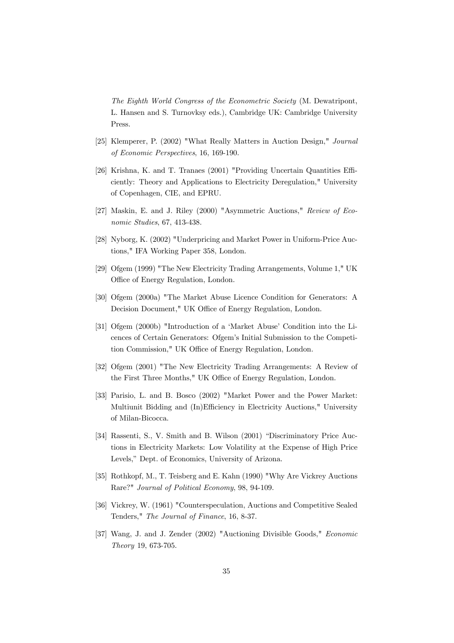The Eighth World Congress of the Econometric Society (M. Dewatripont, L. Hansen and S. Turnovksy eds.), Cambridge UK: Cambridge University Press.

- [25] Klemperer, P. (2002) "What Really Matters in Auction Design," Journal of Economic Perspectives, 16, 169-190.
- [26] Krishna, K. and T. Tranaes (2001) "Providing Uncertain Quantities Efficiently: Theory and Applications to Electricity Deregulation," University of Copenhagen, CIE, and EPRU.
- [27] Maskin, E. and J. Riley (2000) "Asymmetric Auctions," Review of Economic Studies, 67, 413-438.
- [28] Nyborg, K. (2002) "Underpricing and Market Power in Uniform-Price Auctions," IFA Working Paper 358, London.
- [29] Ofgem (1999) "The New Electricity Trading Arrangements, Volume 1," UK Office of Energy Regulation, London.
- [30] Ofgem (2000a) "The Market Abuse Licence Condition for Generators: A Decision Document," UK Office of Energy Regulation, London.
- [31] Ofgem (2000b) "Introduction of a 'Market Abuse' Condition into the Licences of Certain Generators: Ofgem's Initial Submission to the Competition Commission," UK Office of Energy Regulation, London.
- [32] Ofgem (2001) "The New Electricity Trading Arrangements: A Review of the First Three Months," UK Office of Energy Regulation, London.
- [33] Parisio, L. and B. Bosco (2002) "Market Power and the Power Market: Multiunit Bidding and (In)Efficiency in Electricity Auctions," University of Milan-Bicocca.
- [34] Rassenti, S., V. Smith and B. Wilson (2001) "Discriminatory Price Auctions in Electricity Markets: Low Volatility at the Expense of High Price Levels," Dept. of Economics, University of Arizona.
- [35] Rothkopf, M., T. Teisberg and E. Kahn (1990) "Why Are Vickrey Auctions Rare?" Journal of Political Economy, 98, 94-109.
- [36] Vickrey, W. (1961) "Counterspeculation, Auctions and Competitive Sealed Tenders," The Journal of Finance, 16, 8-37.
- [37] Wang, J. and J. Zender (2002) "Auctioning Divisible Goods," Economic Theory 19, 673-705.